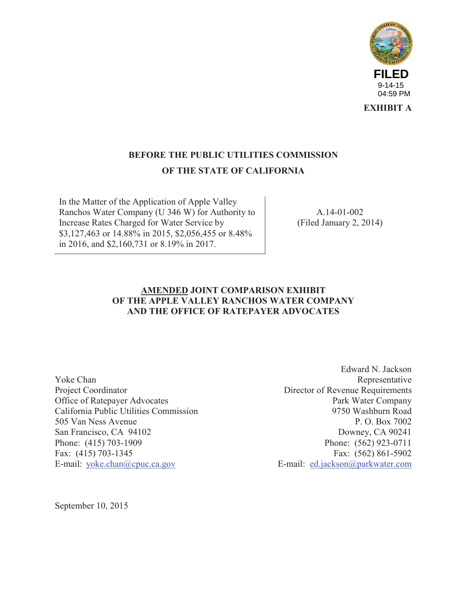

**EXHIBIT A**

#### **BEFORE THE PUBLIC UTILITIES COMMISSION OF THE STATE OF CALIFORNIA**

In the Matter of the Application of Apple Valley Ranchos Water Company (U 346 W) for Authority to Increase Rates Charged for Water Service by \$3,127,463 or 14.88% in 2015, \$2,056,455 or 8.48% in 2016, and \$2,160,731 or 8.19% in 2017.

A.14-01-002 (Filed January 2, 2014)

#### **AMENDED JOINT COMPARISON EXHIBIT OF THE APPLE VALLEY RANCHOS WATER COMPANY AND THE OFFICE OF RATEPAYER ADVOCATES**

Yoke Chan Project Coordinator Office of Ratepayer Advocates California Public Utilities Commission 505 Van Ness Avenue San Francisco, CA 94102 Phone: (415) 703-1909 Fax: (415) 703-1345 E-mail: yoke.chan@cpuc.ca.gov

Edward N. Jackson Representative Director of Revenue Requirements Park Water Company 9750 Washburn Road P. O. Box 7002 Downey, CA 90241 Phone: (562) 923-0711 Fax: (562) 861-5902 E-mail: ed.jackson@parkwater.com

September 10, 2015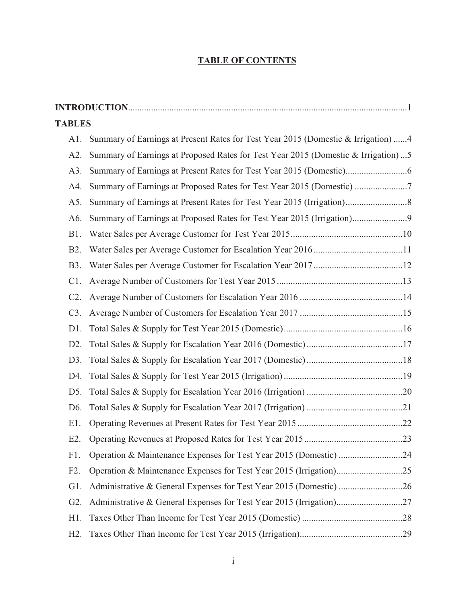#### **TABLE OF CONTENTS**

| <b>TABLES</b>    |                                                                                    |  |
|------------------|------------------------------------------------------------------------------------|--|
| A1.              | Summary of Earnings at Present Rates for Test Year 2015 (Domestic & Irrigation)  4 |  |
| A2.              | Summary of Earnings at Proposed Rates for Test Year 2015 (Domestic & Irrigation)5  |  |
| A3.              |                                                                                    |  |
| A4.              | Summary of Earnings at Proposed Rates for Test Year 2015 (Domestic)                |  |
| A5.              |                                                                                    |  |
| A6.              | Summary of Earnings at Proposed Rates for Test Year 2015 (Irrigation)9             |  |
| B1.              |                                                                                    |  |
| B <sub>2</sub> . |                                                                                    |  |
| <b>B</b> 3.      |                                                                                    |  |
| C1.              |                                                                                    |  |
| C2.              |                                                                                    |  |
| C3.              |                                                                                    |  |
| D1.              |                                                                                    |  |
| D2.              |                                                                                    |  |
| D3.              |                                                                                    |  |
| D4.              |                                                                                    |  |
| D5.              |                                                                                    |  |
| D <sub>6</sub> . |                                                                                    |  |
| E1.              |                                                                                    |  |
| $E2$ .           |                                                                                    |  |
| F1.              |                                                                                    |  |
| F2.              |                                                                                    |  |
| $G1$ .           |                                                                                    |  |
| $G2$ .           |                                                                                    |  |
| $H1$ .           |                                                                                    |  |
| $H2$ .           |                                                                                    |  |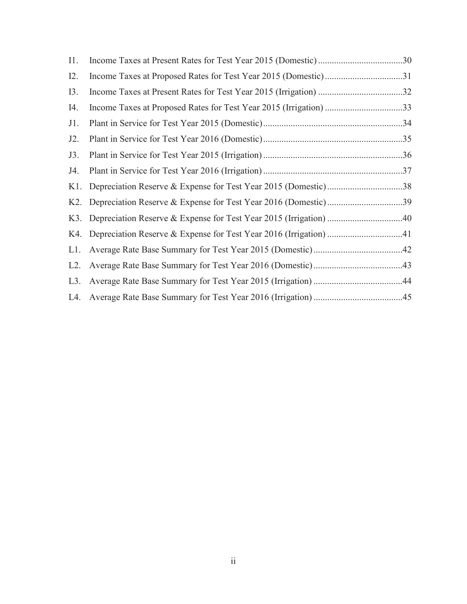| I1.    |                                                                       |  |
|--------|-----------------------------------------------------------------------|--|
| I2.    |                                                                       |  |
| I3.    |                                                                       |  |
| I4.    | Income Taxes at Proposed Rates for Test Year 2015 (Irrigation) 33     |  |
| $J1$ . |                                                                       |  |
| $J2$ . |                                                                       |  |
| J3.    |                                                                       |  |
| J4.    |                                                                       |  |
|        | K1. Depreciation Reserve & Expense for Test Year 2015 (Domestic)38    |  |
|        |                                                                       |  |
|        | K3. Depreciation Reserve & Expense for Test Year 2015 (Irrigation) 40 |  |
|        | K4. Depreciation Reserve & Expense for Test Year 2016 (Irrigation) 41 |  |
| L1.    |                                                                       |  |
| $L2$ . |                                                                       |  |
| L3.    |                                                                       |  |
| L4.    |                                                                       |  |
|        |                                                                       |  |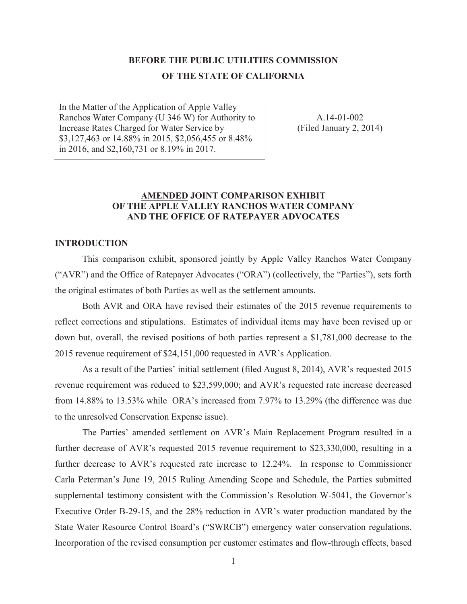#### **BEFORE THE PUBLIC UTILITIES COMMISSION OF THE STATE OF CALIFORNIA**

In the Matter of the Application of Apple Valley Ranchos Water Company (U 346 W) for Authority to Increase Rates Charged for Water Service by \$3,127,463 or 14.88% in 2015, \$2,056,455 or 8.48% in 2016, and \$2,160,731 or 8.19% in 2017.

A.14-01-002 (Filed January 2, 2014)

#### **AMENDED JOINT COMPARISON EXHIBIT OF THE APPLE VALLEY RANCHOS WATER COMPANY AND THE OFFICE OF RATEPAYER ADVOCATES**

#### **INTRODUCTION**

This comparison exhibit, sponsored jointly by Apple Valley Ranchos Water Company ("AVR") and the Office of Ratepayer Advocates ("ORA") (collectively, the "Parties"), sets forth the original estimates of both Parties as well as the settlement amounts.

Both AVR and ORA have revised their estimates of the 2015 revenue requirements to reflect corrections and stipulations. Estimates of individual items may have been revised up or down but, overall, the revised positions of both parties represent a \$1,781,000 decrease to the 2015 revenue requirement of \$24,151,000 requested in AVR's Application.

As a result of the Parties' initial settlement (filed August 8, 2014), AVR's requested 2015 revenue requirement was reduced to \$23,599,000; and AVR's requested rate increase decreased from 14.88% to 13.53% while ORA's increased from 7.97% to 13.29% (the difference was due to the unresolved Conservation Expense issue).

The Parties' amended settlement on AVR's Main Replacement Program resulted in a further decrease of AVR's requested 2015 revenue requirement to \$23,330,000, resulting in a further decrease to AVR's requested rate increase to 12.24%. In response to Commissioner Carla Peterman's June 19, 2015 Ruling Amending Scope and Schedule, the Parties submitted supplemental testimony consistent with the Commission's Resolution W-5041, the Governor's Executive Order B-29-15, and the 28% reduction in AVR's water production mandated by the State Water Resource Control Board's ("SWRCB") emergency water conservation regulations. Incorporation of the revised consumption per customer estimates and flow-through effects, based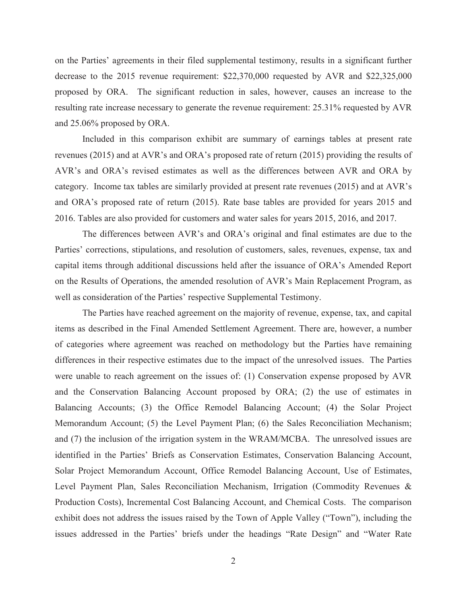on the Parties' agreements in their filed supplemental testimony, results in a significant further decrease to the 2015 revenue requirement: \$22,370,000 requested by AVR and \$22,325,000 proposed by ORA. The significant reduction in sales, however, causes an increase to the resulting rate increase necessary to generate the revenue requirement: 25.31% requested by AVR and 25.06% proposed by ORA.

Included in this comparison exhibit are summary of earnings tables at present rate revenues (2015) and at AVR's and ORA's proposed rate of return (2015) providing the results of AVR's and ORA's revised estimates as well as the differences between AVR and ORA by category. Income tax tables are similarly provided at present rate revenues (2015) and at AVR's and ORA's proposed rate of return (2015). Rate base tables are provided for years 2015 and 2016. Tables are also provided for customers and water sales for years 2015, 2016, and 2017.

The differences between AVR's and ORA's original and final estimates are due to the Parties' corrections, stipulations, and resolution of customers, sales, revenues, expense, tax and capital items through additional discussions held after the issuance of ORA's Amended Report on the Results of Operations, the amended resolution of AVR's Main Replacement Program, as well as consideration of the Parties' respective Supplemental Testimony.

The Parties have reached agreement on the majority of revenue, expense, tax, and capital items as described in the Final Amended Settlement Agreement. There are, however, a number of categories where agreement was reached on methodology but the Parties have remaining differences in their respective estimates due to the impact of the unresolved issues. The Parties were unable to reach agreement on the issues of: (1) Conservation expense proposed by AVR and the Conservation Balancing Account proposed by ORA; (2) the use of estimates in Balancing Accounts; (3) the Office Remodel Balancing Account; (4) the Solar Project Memorandum Account; (5) the Level Payment Plan; (6) the Sales Reconciliation Mechanism; and (7) the inclusion of the irrigation system in the WRAM/MCBA. The unresolved issues are identified in the Parties' Briefs as Conservation Estimates, Conservation Balancing Account, Solar Project Memorandum Account, Office Remodel Balancing Account, Use of Estimates, Level Payment Plan, Sales Reconciliation Mechanism, Irrigation (Commodity Revenues & Production Costs), Incremental Cost Balancing Account, and Chemical Costs. The comparison exhibit does not address the issues raised by the Town of Apple Valley ("Town"), including the issues addressed in the Parties' briefs under the headings "Rate Design" and "Water Rate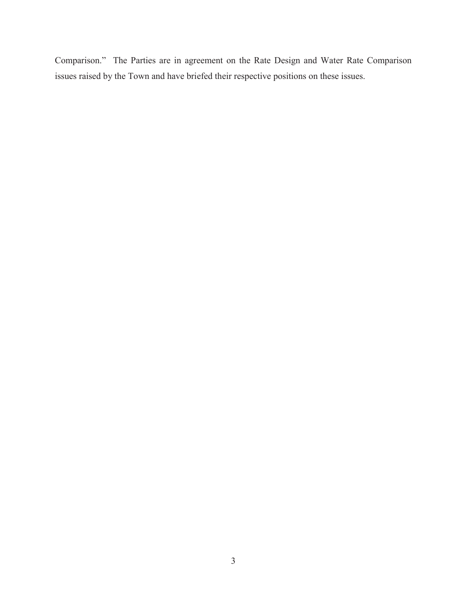Comparison." The Parties are in agreement on the Rate Design and Water Rate Comparison issues raised by the Town and have briefed their respective positions on these issues.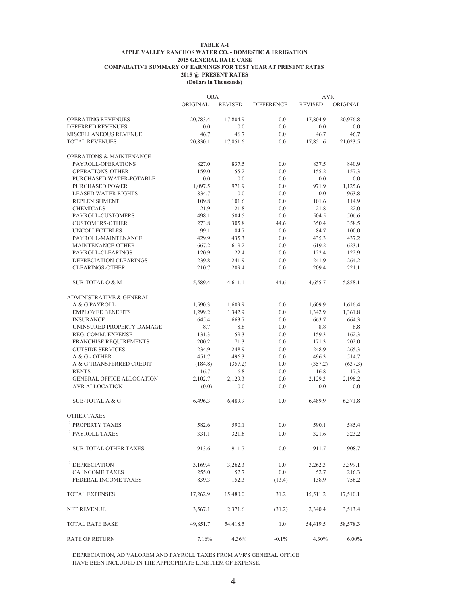#### **TABLE A-1 APPLE VALLEY RANCHOS WATER CO. - DOMESTIC & IRRIGATION 2015 GENERAL RATE CASE COMPARATIVE SUMMARY OF EARNINGS FOR TEST YEAR AT PRESENT RATES 2015 @ PRESENT RATES (Dollars in Thousands)**

|                                     | <b>ORA</b> |                |                   | <b>AVR</b>     |          |
|-------------------------------------|------------|----------------|-------------------|----------------|----------|
|                                     | ORIGINAL   | <b>REVISED</b> | <b>DIFFERENCE</b> | <b>REVISED</b> | ORIGINAL |
| OPERATING REVENUES                  | 20,783.4   | 17,804.9       | 0.0               | 17,804.9       | 20,976.8 |
| DEFERRED REVENUES                   | 0.0        | 0.0            | 0.0               | 0.0            | 0.0      |
| MISCELLANEOUS REVENUE               | 46.7       | 46.7           | 0.0               | 46.7           | 46.7     |
| <b>TOTAL REVENUES</b>               | 20,830.1   | 17,851.6       | 0.0               | 17,851.6       | 21,023.5 |
| <b>OPERATIONS &amp; MAINTENANCE</b> |            |                |                   |                |          |
| PAYROLL-OPERATIONS                  | 827.0      | 837.5          | 0.0               | 837.5          | 840.9    |
| OPERATIONS-OTHER                    | 159.0      | 155.2          | 0.0               | 155.2          | 157.3    |
| PURCHASED WATER-POTABLE             | 0.0        | 0.0            | 0.0               | 0.0            | 0.0      |
| PURCHASED POWER                     | 1,097.5    | 971.9          | 0.0               | 971.9          | 1,125.6  |
| <b>LEASED WATER RIGHTS</b>          | 834.7      | 0.0            | 0.0               | 0.0            | 963.8    |
| REPLENISHMENT                       | 109.8      | 101.6          | 0.0               | 101.6          | 114.9    |
| <b>CHEMICALS</b>                    | 21.9       | 21.8           | 0.0               | 21.8           | 22.0     |
| PAYROLL-CUSTOMERS                   | 498.1      | 504.5          | 0.0               | 504.5          | 506.6    |
| <b>CUSTOMERS-OTHER</b>              | 273.8      | 305.8          | 44.6              | 350.4          | 358.5    |
| <b>UNCOLLECTIBLES</b>               | 99.1       | 84.7           | 0.0               | 84.7           | 100.0    |
| PAYROLL-MAINTENANCE                 | 429.9      | 435.3          | 0.0               | 435.3          | 437.2    |
| MAINTENANCE-OTHER                   | 667.2      | 619.2          | 0.0               | 619.2          | 623.1    |
| PAYROLL-CLEARINGS                   | 120.9      | 122.4          | 0.0               | 122.4          | 122.9    |
| DEPRECIATION-CLEARINGS              | 239.8      | 241.9          | 0.0               | 241.9          | 264.2    |
| <b>CLEARINGS-OTHER</b>              | 210.7      | 209.4          | 0.0               | 209.4          | 221.1    |
| <b>SUB-TOTAL O &amp; M</b>          | 5,589.4    | 4,611.1        | 44.6              | 4,655.7        | 5,858.1  |
| <b>ADMINISTRATIVE &amp; GENERAL</b> |            |                |                   |                |          |
| A & G PAYROLL                       | 1,590.3    | 1,609.9        | 0.0               | 1,609.9        | 1,616.4  |
| <b>EMPLOYEE BENEFITS</b>            | 1,299.2    | 1,342.9        | 0.0               | 1,342.9        | 1,361.8  |
| <b>INSURANCE</b>                    | 645.4      | 663.7          | 0.0               | 663.7          | 664.3    |
| UNINSURED PROPERTY DAMAGE           | 8.7        | 8.8            | 0.0               | 8.8            | 8.8      |
| REG. COMM. EXPENSE                  | 131.3      | 159.3          | 0.0               | 159.3          | 162.3    |
| <b>FRANCHISE REQUIREMENTS</b>       | 200.2      | 171.3          | 0.0               | 171.3          | 202.0    |
| <b>OUTSIDE SERVICES</b>             | 234.9      | 248.9          | 0.0               | 248.9          | 265.3    |
| A & G - OTHER                       | 451.7      | 496.3          | 0.0               | 496.3          | 514.7    |
| A & G TRANSFERRED CREDIT            | (184.8)    | (357.2)        | 0.0               | (357.2)        | (637.3)  |
| <b>RENTS</b>                        | 16.7       | 16.8           | 0.0               | 16.8           | 17.3     |
| <b>GENERAL OFFICE ALLOCATION</b>    | 2,102.7    | 2,129.3        | 0.0               | 2,129.3        | 2,196.2  |
| <b>AVR ALLOCATION</b>               | (0.0)      | 0.0            | 0.0               | 0.0            | 0.0      |
| SUB-TOTAL A & G                     | 6,496.3    | 6,489.9        | 0.0               | 6,489.9        | 6,371.8  |
| <b>OTHER TAXES</b>                  |            |                |                   |                |          |
| <sup>1</sup> PROPERTY TAXES         | 582.6      | 590.1          | 0.0               | 590.1          | 585.4    |
| $^{\rm l}$ PAYROLL TAXES            | 331.1      | 321.6          | $0.0\,$           | 321.6          | 323.2    |
| <b>SUB-TOTAL OTHER TAXES</b>        | 913.6      | 911.7          | 0.0               | 911.7          | 908.7    |
| <sup>1</sup> DEPRECIATION           | 3,169.4    | 3,262.3        | 0.0               | 3,262.3        | 3,399.1  |
| <b>CA INCOME TAXES</b>              | 255.0      | 52.7           | $0.0\,$           | 52.7           | 216.3    |
| <b>FEDERAL INCOME TAXES</b>         | 839.3      | 152.3          | (13.4)            | 138.9          | 756.2    |
| <b>TOTAL EXPENSES</b>               | 17,262.9   | 15,480.0       | 31.2              | 15,511.2       | 17,510.1 |
| <b>NET REVENUE</b>                  | 3,567.1    | 2,371.6        | (31.2)            | 2,340.4        | 3,513.4  |
| <b>TOTAL RATE BASE</b>              | 49,851.7   | 54,418.5       | 1.0               | 54,419.5       | 58,578.3 |
| <b>RATE OF RETURN</b>               | 7.16%      | 4.36%          | $-0.1%$           | 4.30%          | $6.00\%$ |

 $^{\rm l}$  DEPRECIATION, AD VALOREM AND PAYROLL TAXES FROM AVR'S GENERAL OFFICE HAVE BEEN INCLUDED IN THE APPROPRIATE LINE ITEM OF EXPENSE.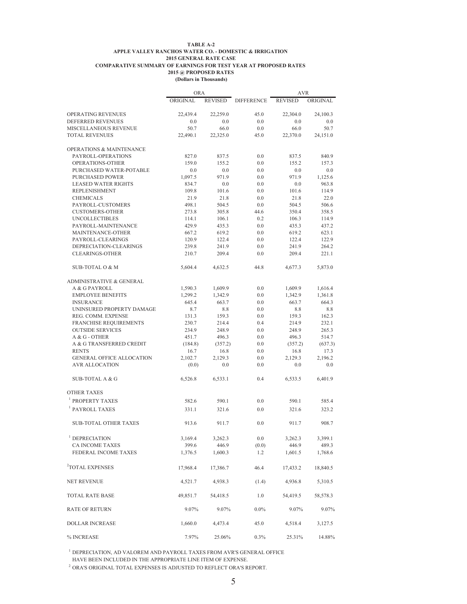#### **TABLE A-2 APPLE VALLEY RANCHOS WATER CO. - DOMESTIC & IRRIGATION 2015 GENERAL RATE CASE COMPARATIVE SUMMARY OF EARNINGS FOR TEST YEAR AT PROPOSED RATES 2015 @ PROPOSED RATES**

|  | (Dollars in Thousands) |
|--|------------------------|
|  |                        |

|                                     | <b>ORA</b>       |                  |                   | <b>AVR</b>       |                  |
|-------------------------------------|------------------|------------------|-------------------|------------------|------------------|
|                                     | ORIGINAL         | <b>REVISED</b>   | <b>DIFFERENCE</b> | <b>REVISED</b>   | ORIGINAL         |
| <b>OPERATING REVENUES</b>           | 22,439.4         | 22.259.0         | 45.0              | 22,304.0         | 24,100.3         |
| DEFERRED REVENUES                   | 0.0              | 0.0              | 0.0               | 0.0              | 0.0              |
| MISCELLANEOUS REVENUE               | 50.7             | 66.0             | 0.0               | 66.0             | 50.7             |
| <b>TOTAL REVENUES</b>               | 22,490.1         | 22,325.0         | 45.0              | 22,370.0         | 24,151.0         |
| <b>OPERATIONS &amp; MAINTENANCE</b> |                  |                  |                   |                  |                  |
| PAYROLL-OPERATIONS                  | 827.0            | 837.5            | 0.0               | 837.5            | 840.9            |
| OPERATIONS-OTHER                    | 159.0            | 155.2            | 0.0               | 155.2            | 157.3            |
| PURCHASED WATER-POTABLE             | 0.0              | 0.0              | 0.0               | 0.0              | 0.0              |
| <b>PURCHASED POWER</b>              | 1,097.5          | 971.9            | 0.0               | 971.9            | 1,125.6          |
| <b>LEASED WATER RIGHTS</b>          | 834.7            | 0.0              | 0.0               | 0.0              | 963.8            |
| <b>REPLENISHMENT</b>                | 109.8            | 101.6            | 0.0               | 101.6            | 114.9            |
| <b>CHEMICALS</b>                    | 21.9             | 21.8             | 0.0               | 21.8             | 22.0             |
| PAYROLL-CUSTOMERS                   | 498.1            | 504.5            | 0.0               | 504.5            | 506.6            |
| <b>CUSTOMERS-OTHER</b>              | 273.8            | 305.8            | 44.6              | 350.4            | 358.5            |
| <b>UNCOLLECTIBLES</b>               | 114.1            | 106.1            | 0.2               | 106.3            | 114.9            |
| PAYROLL-MAINTENANCE                 | 429.9            | 435.3            | 0.0               | 435.3            | 437.2            |
| MAINTENANCE-OTHER                   | 667.2            | 619.2            | 0.0               | 619.2            | 623.1            |
| PAYROLL-CLEARINGS                   | 120.9            | 122.4            | 0.0               | 122.4            | 122.9            |
| DEPRECIATION-CLEARINGS              | 239.8            | 241.9            | 0.0               | 241.9            | 264.2            |
| <b>CLEARINGS-OTHER</b>              | 210.7            | 209.4            | 0.0               | 209.4            | 221.1            |
| <b>SUB-TOTAL O &amp; M</b>          | 5,604.4          | 4,632.5          | 44.8              | 4,677.3          | 5,873.0          |
| <b>ADMINISTRATIVE &amp; GENERAL</b> |                  |                  |                   |                  |                  |
| A & G PAYROLL                       | 1,590.3          | 1,609.9          | 0.0               | 1,609.9          | 1,616.4          |
| <b>EMPLOYEE BENEFITS</b>            | 1,299.2          | 1,342.9          | 0.0               | 1,342.9          | 1,361.8          |
| <b>INSURANCE</b>                    | 645.4            | 663.7            | 0.0               | 663.7            | 664.3            |
| UNINSURED PROPERTY DAMAGE           | 8.7              | 8.8              | 0.0               | 8.8              | 8.8              |
| REG. COMM. EXPENSE                  | 131.3            | 159.3            | 0.0               | 159.3            | 162.3            |
| <b>FRANCHISE REQUIREMENTS</b>       | 230.7            | 214.4            | 0.4               | 214.9            | 232.1            |
| <b>OUTSIDE SERVICES</b>             | 234.9            | 248.9            | 0.0               | 248.9            | 265.3            |
| A & G - OTHER                       | 451.7            | 496.3            | 0.0               | 496.3            | 514.7            |
| A & G TRANSFERRED CREDIT            | (184.8)          | (357.2)          | 0.0               | (357.2)          | (637.3)          |
| <b>RENTS</b>                        | 16.7             | 16.8             | 0.0               | 16.8             | 17.3             |
| <b>GENERAL OFFICE ALLOCATION</b>    | 2,102.7          | 2,129.3          | 0.0               | 2,129.3          | 2,196.2          |
| <b>AVR ALLOCATION</b>               | (0.0)            | 0.0              | 0.0               | 0.0              | 0.0              |
| SUB-TOTAL A & G                     | 6,526.8          | 6,533.1          | 0.4               | 6,533.5          | 6,401.9          |
| <b>OTHER TAXES</b>                  |                  |                  |                   |                  |                  |
| PROPERTY TAXES                      | 582.6            | 590.1            | 0.0               | 590.1            | 585.4            |
| <sup>1</sup> PAYROLL TAXES          | 331.1            | 321.6            | 0.0               | 321.6            | 323.2            |
| <b>SUB-TOTAL OTHER TAXES</b>        | 913.6            | 911.7            | 0.0               | 911.7            | 908.7            |
| <sup>1</sup> DEPRECIATION           |                  |                  |                   |                  |                  |
| <b>CA INCOME TAXES</b>              | 3,169.4          | 3,262.3          | 0.0               | 3,262.3          | 3,399.1          |
| FEDERAL INCOME TAXES                | 399.6<br>1,376.5 | 446.9<br>1,600.3 | (0.0)<br>1.2      | 446.9<br>1,601.5 | 489.3<br>1,768.6 |
|                                     |                  |                  |                   |                  |                  |
| <sup>2</sup> TOTAL EXPENSES         | 17,968.4         | 17,386.7         | 46.4              | 17,433.2         | 18,840.5         |
| <b>NET REVENUE</b>                  | 4,521.7          | 4,938.3          | (1.4)             | 4,936.8          | 5,310.5          |
| <b>TOTAL RATE BASE</b>              | 49,851.7         | 54,418.5         | 1.0               | 54,419.5         | 58,578.3         |
| <b>RATE OF RETURN</b>               | 9.07%            | 9.07%            | $0.0\%$           | 9.07%            | 9.07%            |
| <b>DOLLAR INCREASE</b>              | 1,660.0          | 4,473.4          | 45.0              | 4,518.4          | 3,127.5          |
| % INCREASE                          | 7.97%            | 25.06%           | 0.3%              | 25.31%           | 14.88%           |

 $^{\rm 1}$  DEPRECIATION, AD VALOREM AND PAYROLL TAXES FROM AVR'S GENERAL OFFICE HAVE BEEN INCLUDED IN THE APPROPRIATE LINE ITEM OF EXPENSE.

 $^2$  ORA'S ORIGINAL TOTAL EXPENSES IS ADJUSTED TO REFLECT ORA'S REPORT.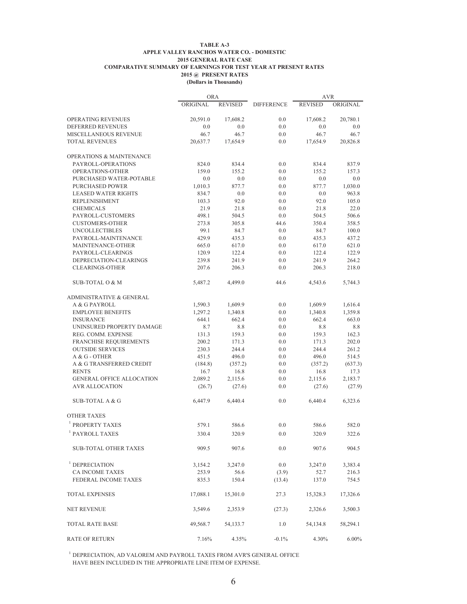#### **TABLE A-3 APPLE VALLEY RANCHOS WATER CO. - DOMESTIC 2015 GENERAL RATE CASE COMPARATIVE SUMMARY OF EARNINGS FOR TEST YEAR AT PRESENT RATES 2015 @ PRESENT RATES (Dollars in Thousands)**

|                                                    | <b>ORA</b>       |                |                   | <b>AVR</b>     |                  |
|----------------------------------------------------|------------------|----------------|-------------------|----------------|------------------|
|                                                    | ORIGINAL         | <b>REVISED</b> | <b>DIFFERENCE</b> | <b>REVISED</b> | ORIGINAL         |
| OPERATING REVENUES                                 | 20,591.0         | 17,608.2       | 0.0               | 17,608.2       | 20,780.1         |
| DEFERRED REVENUES                                  | 0.0              | 0.0            | 0.0               | 0.0            | 0.0              |
| MISCELLANEOUS REVENUE                              | 46.7             | 46.7           | 0.0               | 46.7           | 46.7             |
| <b>TOTAL REVENUES</b>                              | 20,637.7         | 17,654.9       | 0.0               | 17,654.9       | 20,826.8         |
| OPERATIONS & MAINTENANCE                           |                  |                |                   |                |                  |
| PAYROLL-OPERATIONS                                 | 824.0            | 834.4          | 0.0               | 834.4          | 837.9            |
| OPERATIONS-OTHER                                   | 159.0            | 155.2          | 0.0               | 155.2          | 157.3            |
| PURCHASED WATER-POTABLE                            | 0.0              | 0.0            | 0.0               | 0.0            | 0.0              |
|                                                    |                  |                |                   |                |                  |
| PURCHASED POWER                                    | 1,010.3<br>834.7 | 877.7          | 0.0               | 877.7<br>0.0   | 1,030.0<br>963.8 |
| <b>LEASED WATER RIGHTS</b><br><b>REPLENISHMENT</b> |                  | 0.0<br>92.0    | 0.0<br>0.0        | 92.0           |                  |
|                                                    | 103.3            |                |                   |                | 105.0            |
| <b>CHEMICALS</b>                                   | 21.9             | 21.8           | 0.0               | 21.8           | 22.0             |
| PAYROLL-CUSTOMERS                                  | 498.1            | 504.5          | 0.0               | 504.5          | 506.6            |
| <b>CUSTOMERS-OTHER</b>                             | 273.8            | 305.8          | 44.6              | 350.4          | 358.5            |
| <b>UNCOLLECTIBLES</b>                              | 99.1             | 84.7           | 0.0               | 84.7           | 100.0            |
| PAYROLL-MAINTENANCE                                | 429.9            | 435.3          | 0.0               | 435.3          | 437.2            |
| MAINTENANCE-OTHER                                  | 665.0            | 617.0          | 0.0               | 617.0          | 621.0            |
| PAYROLL-CLEARINGS                                  | 120.9            | 122.4          | 0.0               | 122.4          | 122.9            |
| DEPRECIATION-CLEARINGS                             | 239.8            | 241.9          | 0.0               | 241.9          | 264.2            |
| <b>CLEARINGS-OTHER</b>                             | 207.6            | 206.3          | 0.0               | 206.3          | 218.0            |
| SUB-TOTAL O & M                                    | 5,487.2          | 4,499.0        | 44.6              | 4,543.6        | 5,744.3          |
| <b>ADMINISTRATIVE &amp; GENERAL</b>                |                  |                |                   |                |                  |
| A & G PAYROLL                                      | 1,590.3          | 1,609.9        | 0.0               | 1,609.9        | 1,616.4          |
| <b>EMPLOYEE BENEFITS</b>                           | 1,297.2          | 1,340.8        | 0.0               | 1,340.8        | 1,359.8          |
| <b>INSURANCE</b>                                   | 644.1            | 662.4          | 0.0               | 662.4          | 663.0            |
| UNINSURED PROPERTY DAMAGE                          | 8.7              | 8.8            | 0.0               | 8.8            | 8.8              |
| REG. COMM. EXPENSE                                 | 131.3            | 159.3          | 0.0               | 159.3          | 162.3            |
| <b>FRANCHISE REQUIREMENTS</b>                      | 200.2            | 171.3          | 0.0               | 171.3          | 202.0            |
| <b>OUTSIDE SERVICES</b>                            | 230.3            | 244.4          | 0.0               | 244.4          | 261.2            |
| A & G - OTHER                                      | 451.5            | 496.0          | 0.0               | 496.0          | 514.5            |
| A & G TRANSFERRED CREDIT                           | (184.8)          | (357.2)        | 0.0               | (357.2)        | (637.3)          |
| <b>RENTS</b>                                       | 16.7             | 16.8           | 0.0               | 16.8           | 17.3             |
| <b>GENERAL OFFICE ALLOCATION</b>                   | 2,089.2          | 2,115.6        | 0.0               | 2,115.6        | 2,183.7          |
| <b>AVR ALLOCATION</b>                              | (26.7)           | (27.6)         | 0.0               | (27.6)         | (27.9)           |
| <b>SUB-TOTAL A &amp; G</b>                         | 6,447.9          | 6,440.4        | 0.0               | 6,440.4        | 6,323.6          |
| <b>OTHER TAXES</b>                                 |                  |                |                   |                |                  |
| <sup>1</sup> PROPERTY TAXES                        | 579.1            | 586.6          | 0.0               | 586.6          | 582.0            |
| $^{\rm l}$ PAYROLL TAXES                           | 330.4            | 320.9          | 0.0               | 320.9          | 322.6            |
| SUB-TOTAL OTHER TAXES                              | 909.5            | 907.6          | 0.0               | 907.6          | 904.5            |
|                                                    |                  |                |                   |                |                  |
| <sup>1</sup> DEPRECIATION                          | 3,154.2          | 3,247.0        | 0.0               | 3,247.0        | 3,383.4          |
| <b>CA INCOME TAXES</b>                             | 253.9            | 56.6           | (3.9)             | 52.7           | 216.3            |
| <b>FEDERAL INCOME TAXES</b>                        | 835.3            | 150.4          | (13.4)            | 137.0          | 754.5            |
| <b>TOTAL EXPENSES</b>                              | 17,088.1         | 15,301.0       | 27.3              | 15,328.3       | 17,326.6         |
| <b>NET REVENUE</b>                                 | 3,549.6          | 2,353.9        | (27.3)            | 2,326.6        | 3,500.3          |
| <b>TOTAL RATE BASE</b>                             | 49,568.7         | 54,133.7       | 1.0               | 54,134.8       | 58,294.1         |
| <b>RATE OF RETURN</b>                              | 7.16%            | 4.35%          | $-0.1\%$          | 4.30%          | $6.00\%$         |

 $^{\rm l}$  DEPRECIATION, AD VALOREM AND PAYROLL TAXES FROM AVR'S GENERAL OFFICE HAVE BEEN INCLUDED IN THE APPROPRIATE LINE ITEM OF EXPENSE.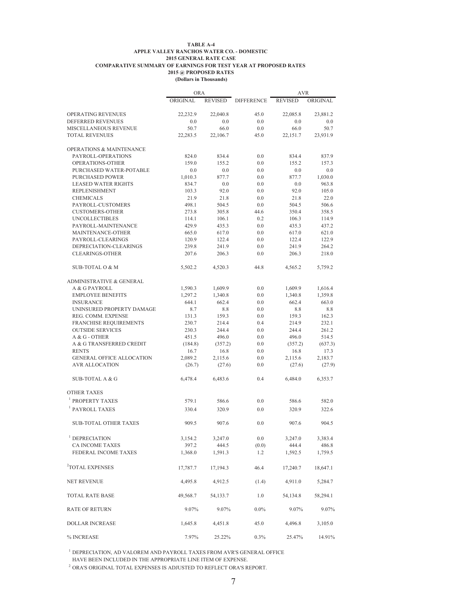#### **TABLE A-4 APPLE VALLEY RANCHOS WATER CO. - DOMESTIC 2015 GENERAL RATE CASE COMPARATIVE SUMMARY OF EARNINGS FOR TEST YEAR AT PROPOSED RATES 2015 @ PROPOSED RATES (Dollars in Thousands)**

|                                           | <b>ORA</b>      |                 |                   | <b>AVR</b>      |                 |
|-------------------------------------------|-----------------|-----------------|-------------------|-----------------|-----------------|
|                                           | ORIGINAL        | <b>REVISED</b>  | <b>DIFFERENCE</b> | <b>REVISED</b>  | ORIGINAL        |
| <b>OPERATING REVENUES</b>                 | 22.232.9        | 22,040.8        | 45.0              | 22,085.8        | 23,881.2        |
| DEFERRED REVENUES                         | 0.0             | 0.0             | 0.0               | 0.0             | 0.0             |
| MISCELLANEOUS REVENUE                     | 50.7            | 66.0            | 0.0               | 66.0            | 50.7            |
| <b>TOTAL REVENUES</b>                     | 22,283.5        | 22,106.7        | 45.0              | 22,151.7        | 23,931.9        |
| <b>OPERATIONS &amp; MAINTENANCE</b>       |                 |                 |                   |                 |                 |
| PAYROLL-OPERATIONS                        | 824.0           | 834.4           | 0.0               | 834.4           | 837.9           |
| OPERATIONS-OTHER                          | 159.0           | 155.2           | 0.0               | 155.2           | 157.3           |
| PURCHASED WATER-POTABLE                   | 0.0             | 0.0             | 0.0               | 0.0             | 0.0             |
| PURCHASED POWER                           | 1,010.3         | 877.7           | 0.0               | 877.7           | 1,030.0         |
| <b>LEASED WATER RIGHTS</b>                | 834.7           | 0.0             | 0.0               | 0.0             | 963.8           |
| <b>REPLENISHMENT</b>                      | 103.3           | 92.0            | 0.0               | 92.0            | 105.0           |
| <b>CHEMICALS</b>                          | 21.9            | 21.8            | 0.0               | 21.8            | 22.0            |
| PAYROLL-CUSTOMERS                         | 498.1           | 504.5           | 0.0               | 504.5           | 506.6           |
| <b>CUSTOMERS-OTHER</b>                    | 273.8           | 305.8           | 44.6              | 350.4           | 358.5           |
| <b>UNCOLLECTIBLES</b>                     | 114.1           | 106.1           | 0.2               | 106.3           | 114.9           |
| PAYROLL-MAINTENANCE                       | 429.9           | 435.3           | 0.0               | 435.3           | 437.2           |
| MAINTENANCE-OTHER                         | 665.0           | 617.0           | 0.0               | 617.0           | 621.0           |
| PAYROLL-CLEARINGS                         | 120.9           | 122.4           | 0.0               | 122.4           | 122.9           |
| DEPRECIATION-CLEARINGS                    | 239.8           | 241.9           | 0.0               | 241.9           | 264.2           |
| <b>CLEARINGS-OTHER</b>                    | 207.6           | 206.3           | 0.0               | 206.3           | 218.0           |
| <b>SUB-TOTAL O &amp; M</b>                | 5,502.2         | 4,520.3         | 44.8              | 4,565.2         | 5,759.2         |
| <b>ADMINISTRATIVE &amp; GENERAL</b>       |                 |                 |                   |                 |                 |
| A & G PAYROLL                             | 1,590.3         | 1,609.9         | 0.0               | 1,609.9         | 1,616.4         |
| <b>EMPLOYEE BENEFITS</b>                  | 1,297.2         | 1,340.8         | 0.0               | 1,340.8         | 1,359.8         |
| <b>INSURANCE</b>                          | 644.1           | 662.4           | 0.0               | 662.4           | 663.0           |
| UNINSURED PROPERTY DAMAGE                 | 8.7             | 8.8             | 0.0               | 8.8             | 8.8             |
| REG. COMM. EXPENSE                        | 131.3           | 159.3           | 0.0               | 159.3           | 162.3           |
| <b>FRANCHISE REQUIREMENTS</b>             | 230.7           | 214.4           | 0.4               | 214.9           | 232.1           |
| <b>OUTSIDE SERVICES</b>                   | 230.3           | 244.4           | 0.0               | 244.4           | 261.2           |
| A & G - OTHER<br>A & G TRANSFERRED CREDIT | 451.5           | 496.0           | 0.0<br>0.0        | 496.0           | 514.5           |
| <b>RENTS</b>                              | (184.8)<br>16.7 | (357.2)<br>16.8 | 0.0               | (357.2)<br>16.8 | (637.3)<br>17.3 |
| <b>GENERAL OFFICE ALLOCATION</b>          | 2,089.2         | 2,115.6         | 0.0               | 2,115.6         | 2,183.7         |
| <b>AVR ALLOCATION</b>                     | (26.7)          | (27.6)          | 0.0               | (27.6)          | (27.9)          |
|                                           |                 |                 |                   |                 |                 |
| <b>SUB-TOTAL A &amp; G</b>                | 6,478.4         | 6,483.6         | 0.4               | 6,484.0         | 6,353.7         |
| <b>OTHER TAXES</b>                        |                 |                 |                   |                 |                 |
| PROPERTY TAXES                            | 579.1           | 586.6           | 0.0               | 586.6           | 582.0           |
| PAYROLL TAXES                             | 330.4           | 320.9           | 0.0               | 320.9           | 322.6           |
| <b>SUB-TOTAL OTHER TAXES</b>              | 909.5           | 907.6           | 0.0               | 907.6           | 904.5           |
| $1$ DEPRECIATION                          | 3,154.2         | 3,247.0         | 0.0               | 3,247.0         | 3,383.4         |
| <b>CA INCOME TAXES</b>                    | 397.2           | 444.5           | (0.0)             | 444.4           | 486.8           |
| FEDERAL INCOME TAXES                      | 1,368.0         | 1,591.3         | 1.2               | 1,592.5         | 1,759.5         |
| <sup>2</sup> TOTAL EXPENSES               | 17,787.7        | 17,194.3        | 46.4              | 17,240.7        | 18,647.1        |
| <b>NET REVENUE</b>                        | 4,495.8         | 4,912.5         | (1.4)             | 4,911.0         | 5,284.7         |
| <b>TOTAL RATE BASE</b>                    | 49,568.7        | 54,133.7        | 1.0               | 54,134.8        | 58,294.1        |
| <b>RATE OF RETURN</b>                     | 9.07%           | 9.07%           | $0.0\%$           | 9.07%           | 9.07%           |
| <b>DOLLAR INCREASE</b>                    | 1,645.8         | 4,451.8         | 45.0              | 4,496.8         | 3,105.0         |
| $\%$ INCREASE                             | 7.97%           | 25.22%          | 0.3%              | 25.47%          | 14.91%          |

 $^{\rm 1}$  DEPRECIATION, AD VALOREM AND PAYROLL TAXES FROM AVR'S GENERAL OFFICE HAVE BEEN INCLUDED IN THE APPROPRIATE LINE ITEM OF EXPENSE.

 $^2$  ORA'S ORIGINAL TOTAL EXPENSES IS ADJUSTED TO REFLECT ORA'S REPORT.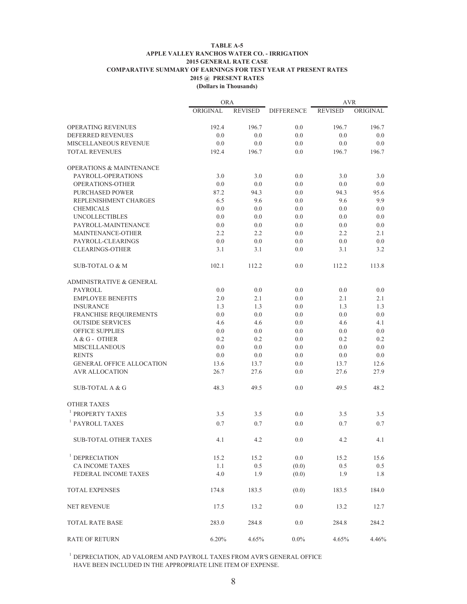#### **TABLE A-5 APPLE VALLEY RANCHOS WATER CO. - IRRIGATION 2015 GENERAL RATE CASE COMPARATIVE SUMMARY OF EARNINGS FOR TEST YEAR AT PRESENT RATES 2015 @ PRESENT RATES (Dollars in Thousands)**

|                                     | <b>ORA</b> |                |                   | AVR            |          |
|-------------------------------------|------------|----------------|-------------------|----------------|----------|
|                                     | ORIGINAL   | <b>REVISED</b> | <b>DIFFERENCE</b> | <b>REVISED</b> | ORIGINAL |
| <b>OPERATING REVENUES</b>           | 192.4      | 196.7          | 0.0               | 196.7          | 196.7    |
| DEFERRED REVENUES                   | 0.0        | 0.0            | 0.0               | 0.0            | 0.0      |
| MISCELLANEOUS REVENUE               | 0.0        | 0.0            | 0.0               | 0.0            | 0.0      |
| <b>TOTAL REVENUES</b>               | 192.4      | 196.7          | 0.0               | 196.7          | 196.7    |
| <b>OPERATIONS &amp; MAINTENANCE</b> |            |                |                   |                |          |
| PAYROLL-OPERATIONS                  | 3.0        | 3.0            | 0.0               | 3.0            | 3.0      |
| <b>OPERATIONS-OTHER</b>             | 0.0        | 0.0            | 0.0               | 0.0            | 0.0      |
| <b>PURCHASED POWER</b>              | 87.2       | 94.3           | 0.0               | 94.3           | 95.6     |
| REPLENISHMENT CHARGES               | 6.5        | 9.6            | 0.0               | 9.6            | 9.9      |
| <b>CHEMICALS</b>                    | 0.0        | 0.0            | 0.0               | 0.0            | 0.0      |
| <b>UNCOLLECTIBLES</b>               | 0.0        | 0.0            | 0.0               | 0.0            | 0.0      |
| PAYROLL-MAINTENANCE                 | 0.0        | 0.0            | 0.0               | 0.0            | 0.0      |
| MAINTENANCE-OTHER                   | 2.2        | 2.2            | 0.0               | 2.2            | 2.1      |
| PAYROLL-CLEARINGS                   | 0.0        | 0.0            | 0.0               | 0.0            | 0.0      |
| <b>CLEARINGS-OTHER</b>              | 3.1        | 3.1            | 0.0               | 3.1            | 3.2      |
| <b>SUB-TOTAL O &amp; M</b>          | 102.1      | 112.2          | 0.0               | 112.2          | 113.8    |
| <b>ADMINISTRATIVE &amp; GENERAL</b> |            |                |                   |                |          |
| PAYROLL                             | 0.0        | 0.0            | 0.0               | 0.0            | 0.0      |
| <b>EMPLOYEE BENEFITS</b>            | 2.0        | 2.1            | 0.0               | 2.1            | 2.1      |
| <b>INSURANCE</b>                    | 1.3        | 1.3            | 0.0               | 1.3            | 1.3      |
| FRANCHISE REQUIREMENTS              | 0.0        | 0.0            | 0.0               | 0.0            | 0.0      |
| <b>OUTSIDE SERVICES</b>             | 4.6        | 4.6            | 0.0               | 4.6            | 4.1      |
| <b>OFFICE SUPPLIES</b>              | 0.0        | 0.0            | 0.0               | 0.0            | 0.0      |
| A & G - OTHER                       | 0.2        | 0.2            | 0.0               | 0.2            | 0.2      |
| <b>MISCELLANEOUS</b>                | 0.0        | 0.0            | 0.0               | 0.0            | 0.0      |
| <b>RENTS</b>                        | 0.0        | 0.0            | 0.0               | 0.0            | 0.0      |
| <b>GENERAL OFFICE ALLOCATION</b>    | 13.6       | 13.7           | 0.0               | 13.7           | 12.6     |
| <b>AVR ALLOCATION</b>               | 26.7       | 27.6           | 0.0               | 27.6           | 27.9     |
| SUB-TOTAL A & G                     | 48.3       | 49.5           | 0.0               | 49.5           | 48.2     |
| <b>OTHER TAXES</b>                  |            |                |                   |                |          |
| <sup>1</sup> PROPERTY TAXES         | 3.5        | 3.5            | 0.0               | 3.5            | 3.5      |
| <sup>1</sup> PAYROLL TAXES          | 0.7        | 0.7            | 0.0               | 0.7            | 0.7      |
| SUB-TOTAL OTHER TAXES               | 4.1        | $4.2\,$        | 0.0               | 4.2            | 4.1      |
| <sup>1</sup> DEPRECIATION           | 15.2       | 15.2           | 0.0               | 15.2           | 15.6     |
| <b>CA INCOME TAXES</b>              | 1.1        | 0.5            | (0.0)             | 0.5            | 0.5      |
| FEDERAL INCOME TAXES                | 4.0        | 1.9            | (0.0)             | 1.9            | 1.8      |
| <b>TOTAL EXPENSES</b>               | 174.8      | 183.5          | (0.0)             | 183.5          | 184.0    |
| <b>NET REVENUE</b>                  | 17.5       | 13.2           | 0.0               | 13.2           | 12.7     |
| <b>TOTAL RATE BASE</b>              | 283.0      | 284.8          | 0.0               | 284.8          | 284.2    |
| <b>RATE OF RETURN</b>               | 6.20%      | 4.65%          | $0.0\%$           | 4.65%          | 4.46%    |

 $^{\rm 1}$  DEPRECIATION, AD VALOREM AND PAYROLL TAXES FROM AVR'S GENERAL OFFICE HAVE BEEN INCLUDED IN THE APPROPRIATE LINE ITEM OF EXPENSE.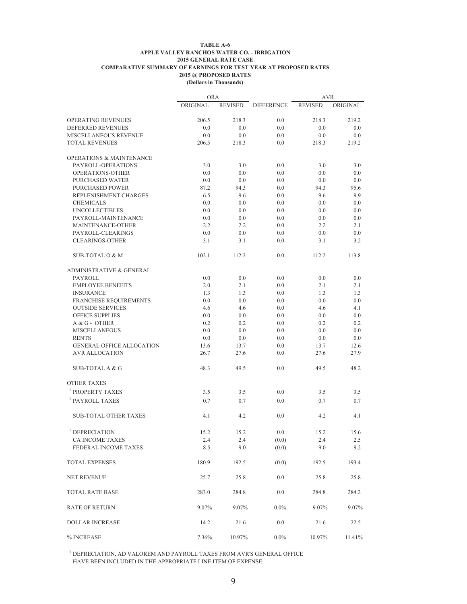#### **TABLE A-6 APPLE VALLEY RANCHOS WATER CO. - IRRIGATION 2015 GENERAL RATE CASE COMPARATIVE SUMMARY OF EARNINGS FOR TEST YEAR AT PROPOSED RATES 2015 @ PROPOSED RATES (Dollars in Thousands)**

|                                     | <b>ORA</b> |                |                   | <b>AVR</b>     |          |
|-------------------------------------|------------|----------------|-------------------|----------------|----------|
|                                     | ORIGINAL   | <b>REVISED</b> | <b>DIFFERENCE</b> | <b>REVISED</b> | ORIGINAL |
| OPERATING REVENUES                  | 206.5      | 218.3          | 0.0               | 218.3          | 219.2    |
| DEFERRED REVENUES                   | 0.0        | 0.0            | 0.0               | 0.0            | 0.0      |
| MISCELLANEOUS REVENUE               | 0.0        | 0.0            | 0.0               | 0.0            | 0.0      |
| <b>TOTAL REVENUES</b>               | 206.5      | 218.3          | 0.0               | 218.3          | 219.2    |
| <b>OPERATIONS &amp; MAINTENANCE</b> |            |                |                   |                |          |
| PAYROLL-OPERATIONS                  | 3.0        | 3.0            | 0.0               | 3.0            | 3.0      |
| OPERATIONS-OTHER                    | 0.0        | 0.0            | 0.0               | 0.0            | 0.0      |
| <b>PURCHASED WATER</b>              | 0.0        | 0.0            | 0.0               | 0.0            | 0.0      |
| <b>PURCHASED POWER</b>              | 87.2       | 94.3           | 0.0               | 94.3           | 95.6     |
| REPLENISHMENT CHARGES               | 6.5        | 9.6            | 0.0               | 9.6            | 9.9      |
| <b>CHEMICALS</b>                    | 0.0        | 0.0            | 0.0               | 0.0            | 0.0      |
| <b>UNCOLLECTIBLES</b>               | 0.0        | 0.0            | 0.0               | 0.0            | 0.0      |
| PAYROLL-MAINTENANCE                 | 0.0        | 0.0            | 0.0               | 0.0            | 0.0      |
| MAINTENANCE-OTHER                   | 2.2        | 2.2            | 0.0               | 2.2            | 2.1      |
| PAYROLL-CLEARINGS                   | 0.0        | 0.0            | 0.0               | 0.0            | 0.0      |
| <b>CLEARINGS-OTHER</b>              | 3.1        | 3.1            | 0.0               | 3.1            | 3.2      |
|                                     |            |                |                   |                |          |
| <b>SUB-TOTAL O &amp; M</b>          | 102.1      | 112.2          | 0.0               | 112.2          | 113.8    |
| <b>ADMINISTRATIVE &amp; GENERAL</b> |            |                |                   |                |          |
| PAYROLL                             | 0.0        | 0.0            | 0.0               | 0.0            | 0.0      |
| <b>EMPLOYEE BENEFITS</b>            | 2.0        | 2.1            | 0.0               | 2.1            | 2.1      |
| <b>INSURANCE</b>                    | 1.3        | 1.3            | 0.0               | 1.3            | 1.3      |
| <b>FRANCHISE REQUIREMENTS</b>       | 0.0        | 0.0            | 0.0               | 0.0            | 0.0      |
| <b>OUTSIDE SERVICES</b>             | 4.6        | 4.6            | 0.0               | 4.6            | 4.1      |
| <b>OFFICE SUPPLIES</b>              | 0.0        | 0.0            | 0.0               | 0.0            | 0.0      |
| A & G - OTHER                       | 0.2        | 0.2            | 0.0               | 0.2            | 0.2      |
| <b>MISCELLANEOUS</b>                | 0.0        | 0.0            | 0.0               | 0.0            | 0.0      |
| <b>RENTS</b>                        | 0.0        | 0.0            | 0.0               | 0.0            | 0.0      |
| <b>GENERAL OFFICE ALLOCATION</b>    | 13.6       | 13.7           | 0.0               | 13.7           | 12.6     |
| <b>AVR ALLOCATION</b>               | 26.7       | 27.6           | 0.0               | 27.6           | 27.9     |
| SUB-TOTAL A & G                     | 48.3       | 49.5           | 0.0               | 49.5           | 48.2     |
| <b>OTHER TAXES</b>                  |            |                |                   |                |          |
| <sup>1</sup> PROPERTY TAXES         |            |                |                   |                |          |
| <sup>1</sup> PAYROLL TAXES          | 3.5        | 3.5            | 0.0               | 3.5            | 3.5      |
|                                     | 0.7        | 0.7            | 0.0               | 0.7            | 0.7      |
| <b>SUB-TOTAL OTHER TAXES</b>        | 4.1        | 4.2            | 0.0               | 4.2            | 4.1      |
| $1$ DEPRECIATION                    | 15.2       | 15.2           | 0.0               | 15.2           | 15.6     |
| <b>CA INCOME TAXES</b>              | 2.4        | 2.4            | (0.0)             | 2.4            | 2.5      |
| FEDERAL INCOME TAXES                | 8.5        | 9.0            | (0.0)             | 9.0            | 9.2      |
| <b>TOTAL EXPENSES</b>               | 180.9      | 192.5          | (0.0)             | 192.5          | 193.4    |
|                                     |            |                |                   |                |          |
| <b>NET REVENUE</b>                  | 25.7       | 25.8           | 0.0               | 25.8           | 25.8     |
| <b>TOTAL RATE BASE</b>              | 283.0      | 284.8          | 0.0               | 284.8          | 284.2    |
| <b>RATE OF RETURN</b>               | 9.07%      | 9.07%          | $0.0\%$           | 9.07%          | 9.07%    |
| DOLLAR INCREASE                     | 14.2       | 21.6           | 0.0               | 21.6           | 22.5     |
| % INCREASE                          | 7.36%      | 10.97%         | $0.0\%$           | 10.97%         | 11.41%   |

 $^{\rm l}$  DEPRECIATION, AD VALOREM AND PAYROLL TAXES FROM AVR'S GENERAL OFFICE HAVE BEEN INCLUDED IN THE APPROPRIATE LINE ITEM OF EXPENSE.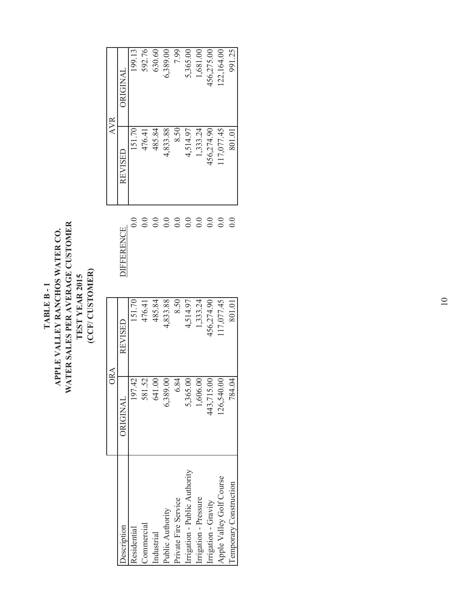#### WATER SALES PER AVERAGE CUSTOMER **WATER SALES PER AVERAGE CUSTOMER**  TABLE B - 1<br>APPLE VALLEY RANCHOS WATER CO. **APPLE VALLEY RANCHOS WATER CO.**  (CCF/CUSTOMER) **(CCF/ CUSTOMER)** TEST YEAR 2015 **TEST YEAR 2015 TABLE B - 1**

|                               | <b>ORA</b>             |            |                      | <b>AVR</b> |            |
|-------------------------------|------------------------|------------|----------------------|------------|------------|
| <b>O</b> escription           | ORIGINAL               | REVISED    | <b>JIFFERENCE</b>    | REVISED    | ORIGINAL   |
| <b>c</b> sidential            | $\overline{4}$<br>197. | 151.70     | $_{\rm 0.0}$         | 151.70     | 199.13     |
| Commercial                    | 52<br>581.             | 476.41     | $\sum_{i=1}^{n}$     | 476.41     | 592.76     |
| Industrial                    | 641.00                 | 485.84     | $\sum_{i=1}^{n}$     | 485.84     | 630.60     |
| Public Authority              | 6,389.00               | 4,833.88   | $\overline{0}$ .     | 4,833.88   | 5,389.00   |
| Private Fire Service          | 84<br>$\circ$          | 8.50       | $\overline{0}$ .     | 8.50       | 7.99       |
| Irrigation - Public Authority | 5,365.00               | 4,514.97   | $\overline{0}$ .     | 4,514.97   | 5,365.00   |
| rrigation - Pressure          | 1,606.00               | 1,333.24   | $\overline{0}$ .     | 1,333.24   | 1,681.00   |
| rrigation - Gravity           | 443,715.00             | 456,274.90 | $\overline{0}$ .     | 156,274.90 | 156,275.00 |
| Apple Valley Golf Course      | 126,540.00             | 17,077.45  | $\overline{0}$ .     | 17,077.45  | 22,164.00  |
| <b>Temporary Construction</b> | 784.04                 | 801.01     | $_{\rm 0.0}^{\rm o}$ | 801.01     | 991.25     |
|                               |                        |            |                      |            |            |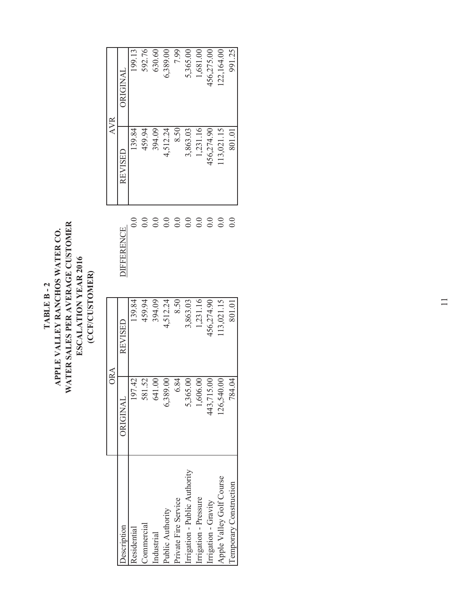### TABLE B - 2<br>APPLE VALLEY RANCHOS WATER CO.<br>WATER SALES PER AVERAGE CUSTOMER<br>ESCALATION YEAR 2016 **WATER SALES PER AVERAGE CUSTOMER APPLE VALLEY RANCHOS WATER CO. ESCALATION YEAR 2016** (CCF/CUSTOMER) **(CCF/CUSTOMER) TABLE B - 2**

|                              | <b>ORA</b>                   |            |                   | <b>AVR</b> |                 |
|------------------------------|------------------------------|------------|-------------------|------------|-----------------|
| <b>Oescription</b>           | <b>ORIGINAL</b>              | REVISED    | <b>JIFFERENCE</b> | REVISED    | <b>ORIGINAL</b> |
| Residential                  | $\overline{4}$<br>197        | 139.84     | 0.0               | 139.84     | 199.13          |
| Commercial                   | $\tilde{\mathcal{S}}$<br>581 | 459.94     | 0.0               | 459.94     | 592.76          |
| Industrial                   | S<br>641                     | 394.09     | 0.0               | 394.09     | 630.60          |
| Public Authority             | 5,389.00                     | 4,512.24   | 0.0               | 4,512.24   | 6,389.00        |
| Private Fire Service         | 6.84                         | 8.50       | 0.0               | 8.50       | 7.99            |
| rrigation - Public Authority | 5,365.00                     | 3,863.03   | 0.0               | 3,863.03   | 5,365.00        |
| irrigation - Pressure        | 1,606.00                     | 1,231.16   | 0.0               | 1,231.16   | 1,681.00        |
| irrigation - Gravity         | $\odot$<br>443,715           | 456,274.90 | 0.0               | 456,274.90 | 156,275.00      |
| Apple Valley Golf Course     | 00.<br>126,540               | 13,021.15  | 0.0               | 13,021.15  | 22,164.00       |
| Temporary Construction       | 784.04                       | 801.01     | $\overline{0.0}$  | 801.01     | 991.25          |
|                              |                              |            |                   |            |                 |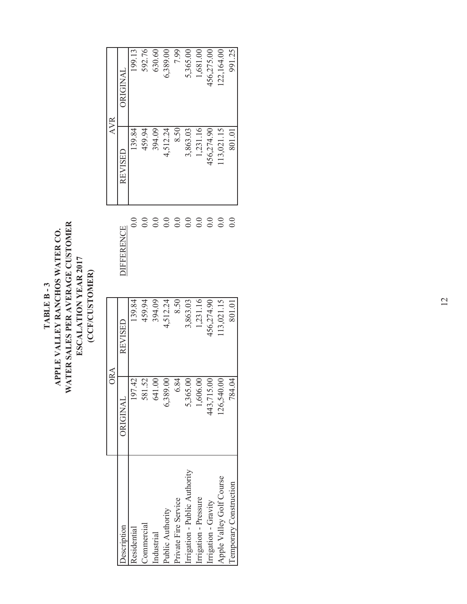### TABLE B - 3<br>APPLE VALLEY RANCHOS WATER CO.<br>WATER SALES PER AVERAGE CUSTOMER<br>ESCALATION YEAR 2017 **WATER SALES PER AVERAGE CUSTOMER APPLE VALLEY RANCHOS WATER CO. ESCALATION YEAR 2017** (CCF/CUSTOMER) **(CCF/CUSTOMER) TABLE B - 3**

|                              | <b>ORA</b> |            |                   | <b>AVR</b> |                 |
|------------------------------|------------|------------|-------------------|------------|-----------------|
| escription                   | ORIGINAL   | REVISED    | <b>JIFFERENCE</b> | REVISED    | <b>JRIGINAL</b> |
| csidential                   | 197.42     | 139.84     | 0.0               | 139.84     | 199.13          |
| Commercial                   | 581.52     | 459.94     | $\overline{0.0}$  | 459.94     | 592.76          |
| Industrial                   | 641.00     | 394.09     | 0.0               | 394.09     | 630.60          |
| Public Authority             | 6,389.00   | 4,512.24   | $\overline{0.0}$  | 4,512.24   | 5,389.00        |
| Private Fire Service         | 6.84       | 8.50       | 0.0               | 8.50       | 7.99            |
| rrigation - Public Authority | 5,365.00   | 3,863.03   | 0.0               | 3,863.03   | 5,365.00        |
| rrigation - Pressure         | 1,606.00   | 1,231.16   | 0.0               | 1,231.16   | 1,681.00        |
| rrigation - Gravity          | 443,715.00 | 156,274.90 | 0.0               | 456,274.90 | 156,275.00      |
| Apple Valley Golf Course     | 126,540.00 | 13,021.15  | 0.0               | 13,021.15  | 22,164.00       |
| Temporary Construction       | 784.04     | 801.01     | 0.0               | 801.01     | 991.25          |
|                              |            |            |                   |            |                 |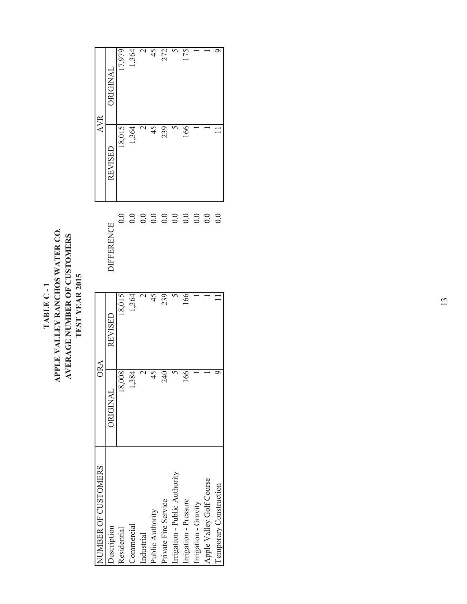### TABLE C - 1<br>APPLE VALLEY RANCHOS WATER CO. **APPLE VALLEY RANCHOS WATER CO.** AVERAGE NUMBER OF CUSTOMERS **AVERAGE NUMBER OF CUSTOMERS**  TEST YEAR 2015 **TEST YEAR 2015 TABLE C - 1**

| NUMBER OF CUSTOMERS           | ORA            |                |                                                        | <b>AVR</b> |                |
|-------------------------------|----------------|----------------|--------------------------------------------------------|------------|----------------|
| <b>Description</b>            | ORIGINAL       | REVISED        | <b>JIFFERENCE</b>                                      | REVISED    | DRIGINAL       |
| Residential                   | 18,008         | 18,015         | 0.0                                                    | 18,015     | 17,979         |
| Commercial                    | 1,384          | 1,364          | 0.0                                                    | 1,364      | 1,364          |
| Industrial                    |                |                |                                                        |            |                |
| Public Authority              | 45"            | 45             | $\begin{array}{c} 0.000000 \\ 0.000000 \\ \end{array}$ | 45         | $\frac{45}{5}$ |
| Private Fire Service          | 240            | 239            |                                                        | 239        | 272            |
| Irrigation - Public Authority |                |                |                                                        |            |                |
| Irrigation - Pressure         | $\frac{66}{5}$ | $\frac{66}{5}$ |                                                        | 166        | 175            |
| Irrigation - Gravity          |                |                |                                                        |            |                |
| Apple Valley Golf Course      |                |                | $\overline{0.0}$                                       |            |                |
| <b>Temporary Construction</b> |                |                | 0.0                                                    |            |                |
|                               |                |                |                                                        |            |                |

 $45$ 

 $\overline{\mathcal{L}}$ 

272

17,979 1,364 175

 $\overline{\circ}$ 

 $\overline{\mathcal{S}}$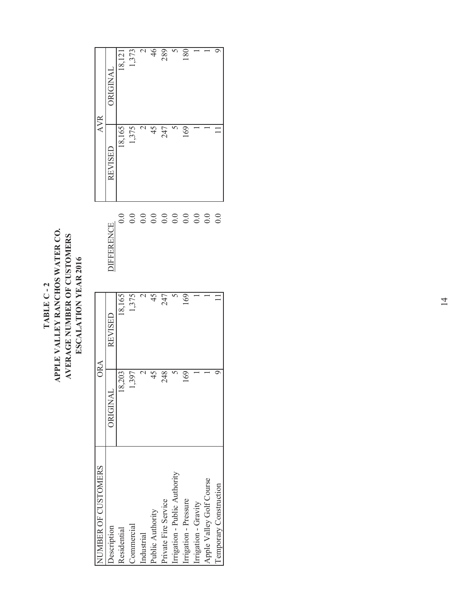### TABLE C - 2<br>APPLE VALLEY RANCHOS WATER CO. **APPLE VALLEY RANCHOS WATER CO.** AVERAGE NUMBER OF CUSTOMERS **AVERAGE NUMBER OF CUSTOMERS**  ESCALATION YEAR 2016 **ESCALATION YEAR 2016 TABLE C - 2**

| NUMBER OF CUSTOMERS           | ORA      |           |                   | <b>AVR</b> |                 |
|-------------------------------|----------|-----------|-------------------|------------|-----------------|
| <b>Description</b>            | ORIGINAL | REVISED   | <b>JIFFERENCE</b> | REVISED    | <b>DRIGINAL</b> |
| Residential                   | 18,203   | 18,165    | $_{\rm 0.0}$      | 18,165     | 18,121          |
| Commercial                    | 1,397    | 1,375     | 0.0               | 1,375      | [,373           |
| Industrial                    |          |           | 0.0               |            | $\mathcal{L}$   |
| Public Authority              |          |           | 0.0               |            | 46              |
| Private Fire Service          | 248      | 247       | 0.0               | 247        | 289             |
| Irrigation - Public Authority |          |           |                   |            |                 |
| Irrigation - Pressure         | 169      | <u>69</u> | 0.0               | 169        | $\frac{80}{2}$  |
| Irrigation - Gravity          |          |           | 0.0               |            |                 |
| Apple Valley Golf Course      |          |           | 0.0               |            |                 |
| Temporary Construction        |          |           | 0.0               |            |                 |
|                               |          |           |                   |            |                 |

46 289

 $\mathcal{L}$ 

1,373

AVR

180  $\overline{6}$ 

 $\overline{\circ}$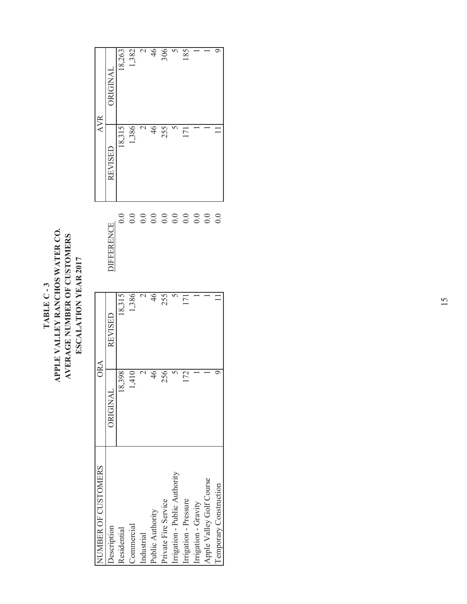### TABLE C - 3<br>APPLE VALLEY RANCHOS WATER CO. **APPLE VALLEY RANCHOS WATER CO.** AVERAGE NUMBER OF CUSTOMERS **AVERAGE NUMBER OF CUSTOMERS**  ESCALATION YEAR 2017 **ESCALATION YEAR 2017 TABLE C - 3**

| NUMBER OF CUSTOMERS           | ORA           |         |                   | AVR                 |                 |
|-------------------------------|---------------|---------|-------------------|---------------------|-----------------|
| <b>Description</b>            | ORIGINAL      | REVISED | <b>JIFFERENCE</b> | REVISED             | <b>DRIGINAL</b> |
| Residential                   | 18,398        | 18,315  | $_{\rm 0.0}$      | 18,315              | 18,263          |
| Commercial                    | 1,410         | 1,386   | 0.0               | 1,386               | 382             |
| Industrial                    |               |         | 0.0               |                     | $\sim$          |
| Public Authority              | $\frac{4}{6}$ |         | 0.0               |                     | $rac{46}{306}$  |
| Private Fire Service          | 2561          | 255     | 0.0               | 255                 |                 |
| Irrigation - Public Authority |               |         |                   |                     | $\sim$          |
| Irrigation - Pressure         | 172           |         | 0.0               | $\overline{\Gamma}$ | 185             |
| Irrigation - Gravity          |               |         | 0.0               |                     |                 |
| Apple Valley Golf Course      |               |         | $\overline{0.0}$  |                     |                 |
| Temporary Construction        |               |         | 0.0               |                     | σ               |
|                               |               |         |                   |                     |                 |

18,263

AVR

 $46$ 306  $\overline{5}$ 

 $\overline{c}$ 

185

 $\overline{\circ}$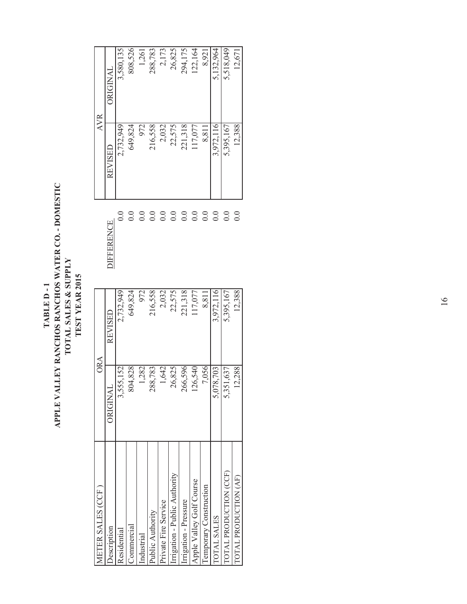APPLE VALLEY RANCHOS RANCHOS WATER CO. - DOMESTIC **APPLE VALLEY RANCHOS RANCHOS WATER CO. - DOMESTIC** TOTAL SALES & SUPPLY<br>TEST YEAR 2015 **TOTAL SALES & SUPPLY TEST YEAR 2015** TABLE D-1 **TABLE D - 1**

| METER SALES (CCF             | <b>ORA</b> |           |                    | <b>AVR</b> |           |
|------------------------------|------------|-----------|--------------------|------------|-----------|
| <b>Jescription</b>           | ORIGINAI   | REVISED   | <b>JIFFERENCE</b>  | REVISED    | ORIGINAL  |
| Residential                  | 3,555,152  | 2,732,949 | $_{\odot}^{\rm O}$ | 2,732,949  | 3,580,135 |
| <b>Commercia</b>             | 804,828    | 649.824   | $\sum_{i=1}^{n}$   | 649.824    | 808,526   |
| ndustrial                    | 1,282      | 972       | $\sum$             | 972        | 1,261     |
| Public Authority             | 288,783    | 216,558   | $\tilde{C}$        | 216,558    | 288,783   |
| nivate Fire Service          | 1,642      | 2,032     | $\sum_{i=1}^{n}$   | 2,032      | 2,173     |
| rrigation - Public Authority | 26,825     | 22,575    | $\sum_{i=1}^{n}$   | 22,575     | 26,825    |
| rrigation - Pressure         | 266,596    | 221,318   | $\overline{0}$ .   | 221,318    | 294,175   |
| Apple Valley Golf Course     | 26,540     | 117,077   | $\overline{0}$ .   | 117,077    | 22,164    |
| emporary Construction        | 7,056      | 8,811     | $\overline{0.0}$   | 8,811      | 8,921     |
| <b>OTAL SALES</b>            | 5,078,703  | 3,972,116 | $\tilde{\sim}$     | 3,972,116  | 5,132,964 |
| <b>DTAL PRODUCTION (CCF)</b> | 5,351,637  | 5,395,167 | $\sum_{i=1}^{n}$   | 5,395,167  | 5,518,049 |
| OTAL PRODUCTION (AF)         | 12,288     | 12,388    | 0.0                | 12,388     | 12,671    |
|                              |            |           |                    |            |           |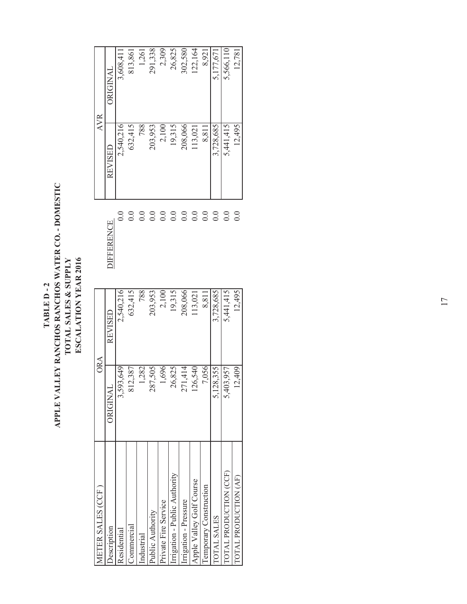TABLE D - 2<br>APPLE VALLEY RANCHOS RANCHOS WATER CO. - DOMESTIC **APPLE VALLEY RANCHOS RANCHOS WATER CO. - DOMESTIC** TOTAL SALES & SUPPLY<br>ESCALATION VEAR 2016 **TOTAL SALES & SUPPLY ESCALATION YEAR 2016 TABLE D - 2**

| <b>AETER SALES (CCF</b>      | <b>ORA</b>        |                |                      | <b>AVR</b> |           |
|------------------------------|-------------------|----------------|----------------------|------------|-----------|
| <b>Jescription</b>           | ORIGINAL          | <b>REVISED</b> | <b>JIFFERENCE</b>    | REVISED    | JRIGINAL  |
| Residential                  | 3,593,649         | 2,540,216      | $_{\odot}^{\rm O}$   | 2,540,216  | 3,608,411 |
| Sommercial                   | 812,387           | 632,415        | $\sum$               | 632,415    | 813,861   |
| ndustrial                    | 1,282             | 788            | $\sum_{i=1}^{n}$     | 788        | 1,261     |
| Public Authority             | 287,505           | 203,953        | $\sum_{i=1}^{n}$     | 203,953    | 291,338   |
| Private Fire Service         | 1,696             | 2,100          | $\tilde{\mathsf{C}}$ | 2,100      | 2,309     |
| rrigation - Public Authority | 26,825            | 19,315         | $\tilde{C}$          | 19,315     | 26,825    |
| rrigation - Pressure         | 271,414           | 208,066        | $\sum_{i=1}^{n}$     | 208,066    | 302,580   |
| Apple Valley Golf Course     | 126,540           | 13,021         | 0.0                  | 13,021     | 122,164   |
| emporary Construction        | 7,056             | 8,811          | $\sum_{i=1}^{n}$     | 8,811      | 8,921     |
| <b>OTAL SALES</b>            | 128,355<br>$\sim$ | 3,728,685      | $\sum_{i=1}^{n}$     | 3,728,685  | 5,177,671 |
| OTAL PRODUCTION (CCF)        | 5,403,957         | 5,441,415      | $\tilde{\sim}$       | 5,441,415  | 5,566,110 |
| OTAL PRODUCTION (AF)         | 12,409            | 12,495         | 0.0                  | 12,495     | 12,781    |
|                              |                   |                |                      |            |           |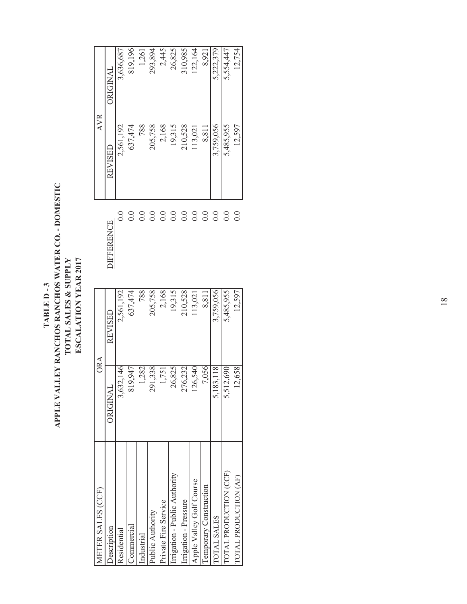TABLE D - 3<br>APPLE VALLEY RANCHOS RANCHOS WATER CO. - DOMESTIC **APPLE VALLEY RANCHOS RANCHOS WATER CO. - DOMESTIC** TOTAL SALES & SUPPLY ESCALATION YEAR 2017 **TOTAL SALES & SUPPLY ESCALATION YEAR 2017 TABLE D - 3**

| IETER SALES (CCF)            | <b>ORA</b> |           |                    | <b>AVR</b> |           |
|------------------------------|------------|-----------|--------------------|------------|-----------|
| <b>Jescription</b>           | ORIGINAL   | REVISED   | <b>JIFFERENCE</b>  | REVISED    | JRIGINAL  |
| Residential                  | 3,632,146  | 2,561,192 | $_{\odot}^{\rm O}$ | 2,561,192  | 3,636,687 |
| Sommercial                   | 819.947    | 637,474   | $\sum$             | 637,474    | 819,196   |
| ndustrial                    | 1,282      | 788       | $\sum_{i=1}^{n}$   | 788        | 1,261     |
| Public Authority             | 291,338    | 205,758   | $\sum_{i=1}^{n}$   | 205,758    | 293,894   |
| Private Fire Service         | 1,751      | 2,168     | $\sum_{i=1}^{n}$   | 2,168      | 2,445     |
| rrigation - Public Authority | 26,825     | 19,315    | $\sum_{i=1}^{n}$   | 19,315     | 26,825    |
| rrigation - Pressure         | 276,232    | 210,528   | $\tilde{\sim}$     | 210,528    | 310,985   |
| Apple Valley Golf Course     | 126,540    | 13,021    | 0.0                | 13,021     | 122,164   |
| emporary Construction        | 7,056      | 8,811     | 0.0                | 8,811      | 8,921     |
| <b>OTAL SALES</b>            | 5,183,118  | 3,759,056 | $\tilde{C}$        | 3,759,056  | 5,222,379 |
| OTAL PRODUCTION (CCF)        | 5,512,690  | 5,485,955 | $\sum_{i=1}^{n}$   | 5,485,955  | 5,554,447 |
| OTAL PRODUCTION (AF)         | 12,658     | 12,597    | 0.0                | 12,597     | 12,754    |
|                              |            |           |                    |            |           |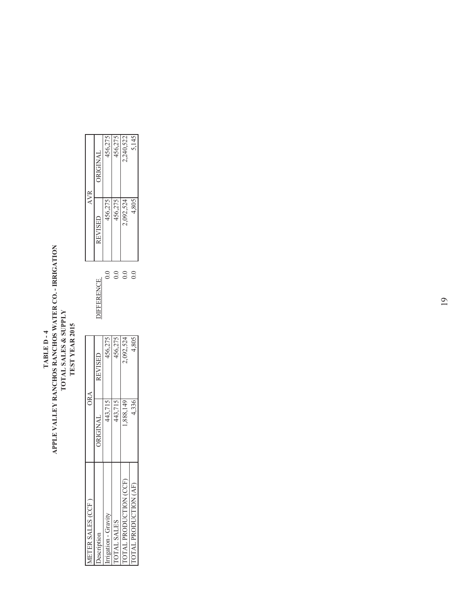## TABLE D - 4<br>APLE VALLEY RANCHOS RANCHOS WATER CO. - IRRIGATION<br>TOTAL SALES & SUPPLY<br>TEST YEAR 2015 **APPLE VALLEY RANCHOS RANCHOS WATER CO. - IRRIGATION TOTAL SALES & SUPPLY TEST YEAR 2015 TABLE D - 4**

|                      | ORA      |                    |                      | <b>AVR</b>     |                 |
|----------------------|----------|--------------------|----------------------|----------------|-----------------|
| escription           | DRIGINAI | <b>REVISED</b>     | <b>IFFERENCE</b>     | <b>REVISED</b> | <b>ORIGINAL</b> |
| rigation - Gravity   | 443,715  |                    | $_{\odot}^{\circ}$   | 456,275        |                 |
| <b>FOTAL SALES</b>   | 443.71.  | 456,275<br>456,275 |                      | 456,27         | 456,275         |
| OTAL PRODUCTION (CCF | ,888,149 | 2,092,524          | 3<br>0               | 2,092,524      | 2,240,522       |
| OTAL PRODUCTION (AF  | 4,336    | 4,805              | $_{\rm 0.0}^{\rm o}$ | 4,805          | 5,145           |

|   | ORA                  |                  | <b>AVR</b>           |                                        |
|---|----------------------|------------------|----------------------|----------------------------------------|
|   | REVISED              | <b>JEFERENCE</b> | REVISED              | ORIGINAL                               |
|   | 456,275              | $\rm ^{0.0}$     | 456,275              |                                        |
|   |                      | $\overline{0.0}$ |                      | $\frac{456,275}{456,275}$<br>2,240,522 |
| ₽ | 456,275<br>2,092,524 | $\overline{0}$ . | 456,275<br>2,092,524 |                                        |
| ٢ | 4,805                | $\frac{0}{0}$    | 4,805                | 5,145                                  |
|   |                      |                  |                      |                                        |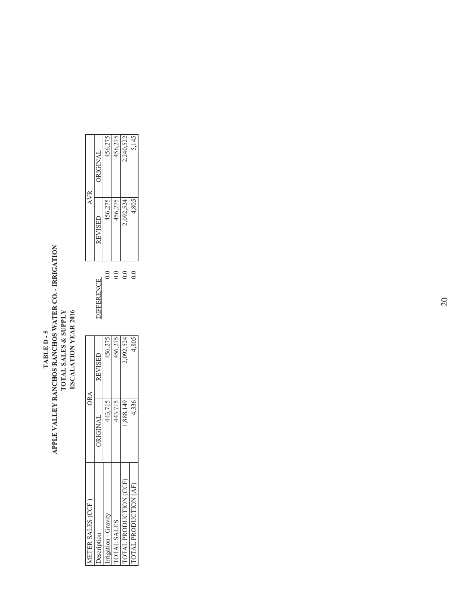## TABLE D - 5<br>APLE VALLEY RANCHOS RANCHOS WATER CO. - IRRIGATION<br>TOTAL SALES & SUPPLY<br>ESCALATION YEAR 2016 **APPLE VALLEY RANCHOS RANCHOS WATER CO. - IRRIGATION TOTAL SALES & SUPPLY ESCALATION YEAR 2016 TABLE D - 5**

|                      | ORA      |                                        |                      | AVR            |                                        |
|----------------------|----------|----------------------------------------|----------------------|----------------|----------------------------------------|
|                      | DRIGINAL | <b>REVISED</b>                         | <b>JIFFERENCE</b>    | <b>REVISED</b> | <b>ORIGINAL</b>                        |
| rrigation - Gravity  | 443,715  |                                        | .<br>0               | 456,275        |                                        |
| <b>OTAL SALES</b>    | 443,715  |                                        |                      | 456,275        | $\frac{456,275}{456,275}$<br>2,240,522 |
| OTAL PRODUCTION (CCF | ,888,149 | $\frac{456,275}{456,275}$<br>2,092,524 |                      | 2,092,524      |                                        |
| OTAL PRODUCTION (AF  | 4,336    | 4,805                                  | $_{\rm 0.0}^{\rm o}$ | 4,805          | 5,145                                  |
|                      |          |                                        |                      |                |                                        |

|   | ORA       |                      | <b>AVR</b>     |                 |
|---|-----------|----------------------|----------------|-----------------|
|   | REVISED   | <b>JIFFERENCE</b>    | <b>AEVISED</b> | <b>DRIGINAL</b> |
| ١ | 456,275   | $\rm{C}$             | 456,27:        | 456,275         |
|   | 456,275   | $\rm{S}$             | 456,275        | 456,275         |
| Q | 2,092,524 | $_{\rm 0.0}$         | 2,092,524      | 2,240,522       |
|   | 4,805     | $_{\rm 0.0}^{\rm o}$ | 4,805          | 5,145           |
|   |           |                      |                |                 |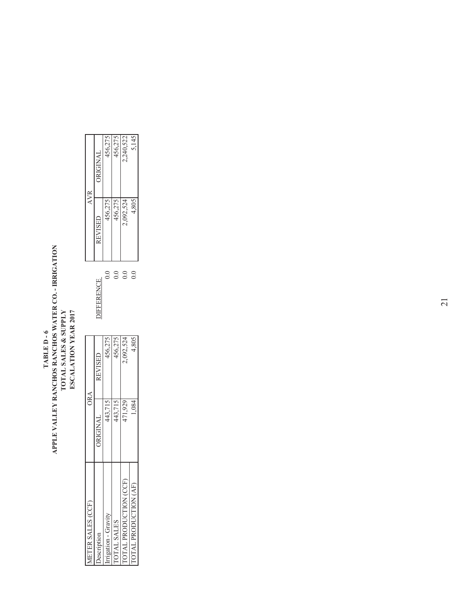## TABLE D - 6<br>APLE VALLEY RANCHOS RANCHOS WATER CO. - IRRIGATION<br>TOTAL SALES & SUPPLY<br>ESCALATION YEAR 2017 **APPLE VALLEY RANCHOS RANCHOS WATER CO. - IRRIGATION TOTAL SALES & SUPPLY ESCALATION YEAR 2017 TABLE D - 6**

|                      | ORA      |                                        |                      | <b>AVR</b>           |                                        |
|----------------------|----------|----------------------------------------|----------------------|----------------------|----------------------------------------|
|                      | DRIGINAL | <b>REVISED</b>                         | <b>IFFERENCE</b>     | <b>REVISED</b>       | ORIGINAL                               |
| igation - Gravity    | 443,715  |                                        | $_{\rm o}^{\rm o}$   | 456,275              |                                        |
| <b>OTAL SALES</b>    | 443,715  | $\frac{456,275}{456,275}$<br>2,092,524 |                      |                      | $\frac{456,275}{456,275}$<br>2,240,522 |
| OTAL PRODUCTION (CCF | 471,929  |                                        | $_{\rm o}^{\rm o}$   | 456,275<br>2,092,524 |                                        |
| OTAL PRODUCTION (AF  | 1,084    | 4,805                                  | $_{\rm 0.0}^{\rm o}$ | 4,805                | 5,145                                  |
|                      |          |                                        |                      |                      |                                        |

|   | ORA            |                    |           | <b>AVR</b> |
|---|----------------|--------------------|-----------|------------|
|   | <b>REVISED</b> | <b>JEFERENCE</b>   | REVISED   | JRIGINAL   |
|   | 456,275        | $_{\rm o}^{\rm o}$ | 456,275   | 456,275    |
| ١ | 456,275        | $_{\odot}^{\circ}$ | 456,275   | 456,275    |
| 2 | 2,092,524      | $\frac{0}{2}$      | 2,092,524 | 2,240,522  |
| 4 | 4,805          | $_{\rm o}^{\rm o}$ | 4,805     | 5,145      |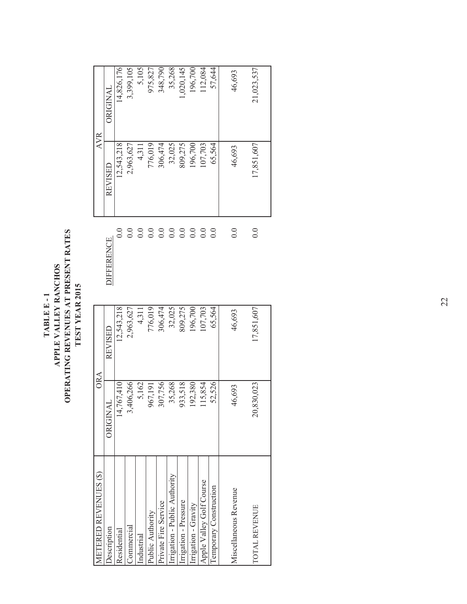| METERED REVENUES (\$)        | <b>ORA</b>      |            |                   | <b>AVR</b> |            |
|------------------------------|-----------------|------------|-------------------|------------|------------|
| <b>Description</b>           | ORIGINAL        | REVISED    | <b>DIFFERENCE</b> | REVISED    | JRIGINAL   |
| Residential                  | 14,767,410      | 12,543,218 | $_{\odot}$        | 12,543,218 | 14,826,176 |
| Commercial                   | 3,406,266       | 2,963,627  | $\overline{0.0}$  | 2,963,627  | 3,399,105  |
| ndustrial                    | 5,162           | 4,311      | $\sum_{ }$        | 4,311      | 5,105      |
| Public Authority             | 967,191         | 776,019    | $\sum$            | 776,019    | 975,827    |
| Private Fire Service         | 307,756         | 306,474    | $\sum_{i=1}^{n}$  | 306,474    | 348,790    |
| rrigation - Public Authority | 35,268          | 32,025     | 0.0               | 32,025     | 35,268     |
| rrigation - Pressure         | 933,518         | 809,275    | $\overline{0.0}$  | 809,275    | ,020,145   |
| rrigation - Gravity          | 192,380         | 196,700    | $\sum$            | 196,700    | 196,700    |
| Apple Valley Golf Course     | 115,854         | 107,703    | $\sum$            | 107,703    | 12,084     |
| Temporary Construction       | 52,526          | 65.564     | $\sum_{i=1}^{n}$  | 65.564     | 57,644     |
|                              |                 |            |                   |            |            |
| Miscellaneous Revenue        | 46,693          | 46,693     | $\overline{0}$ .  | 46,693     | 46,693     |
| TOTAL REVENUE                | 830,023<br>20,8 | 17,851,607 | 0.0               | 17,851,607 | 21,023,537 |
|                              |                 |            |                   |            |            |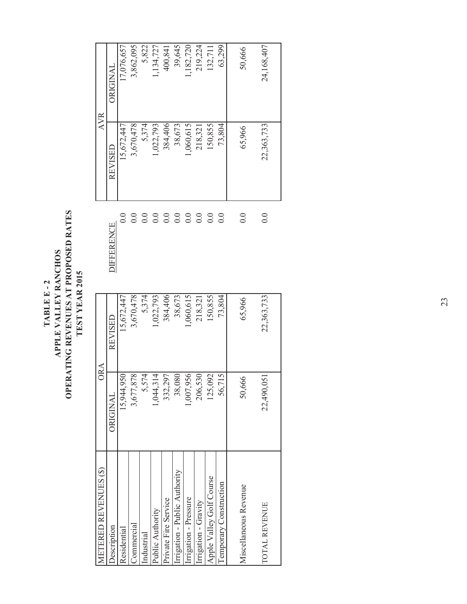OPERATING REVENUES AT PROPOSED RATES **OPERATING REVENUES AT PROPOSED RATES**  TABLE E - 2<br>APPLE VALLEY RANCHOS **APPLE VALLEY RANCHOS** TEST YEAR 2015 **TEST YEAR 2015 TABLE E - 2**

| METERED REVENUES (\$)         | <b>ORA</b> |            |                    | <b>AVR</b> |                 |
|-------------------------------|------------|------------|--------------------|------------|-----------------|
| <b>Jescription</b>            | ORIGINAL   | REVISED    | <b>DIFFERENCE</b>  | REVISED    | <b>JRIGINAL</b> |
| Residential                   | 15,944,950 | 15,672,447 | $_{\odot}^{\rm O}$ | 15,672,447 | 17,076,657      |
| Commercial                    | 3,677,878  | 3,670,478  | 0.0                | 3,670,478  | 3,862,095       |
| Industrial                    | 5,574      | 5,374      | 0.0                | 5,374      | 5,822           |
| Public Authority              | 1,044,314  | 1,022,793  | 0.0                | 1,022,793  | .134,727        |
| Private Fire Service          | 332,297    | 384,406    | 0.0                | 384,406    | 400,841         |
| Irrigation - Public Authority | 38,080     | 38,673     | 0.0                | 38,673     | 39,645          |
| rrigation - Pressure          | 1,007,956  | 1,060,615  | 0.0                | 1,060,615  | ,182,720        |
| Irigation - Gravity           | 206,530    | 218,321    | 0.0                | 218,321    | 219,224         |
| Apple Valley Golf Course      | 125,092    | 150,855    | 0.0                | 150,855    | 132,711         |
| I emporary Construction       | 56,715     | 73,804     | $\overline{0.0}$   | 73,804     | 63,299          |
| Miscellaneous Revenue         | 50,666     | 65,966     | $\rm{O}$ .         | 65,966     | 50,666          |
| TOTAL REVENUE                 | 22,490,051 | 22,363,733 | 0.0                | 22,363,733 | 24,168,407      |
|                               |            |            |                    |            |                 |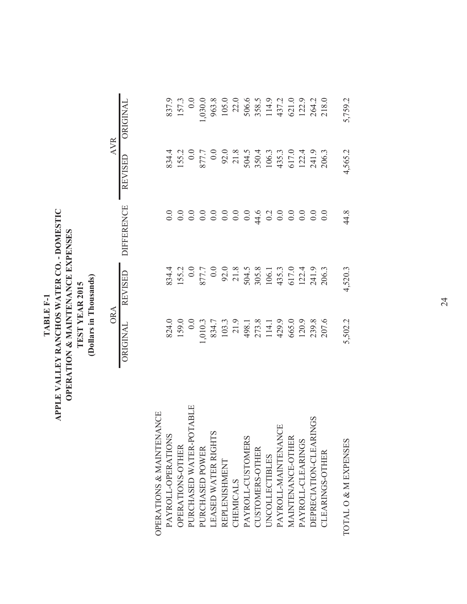| TABLE F-1 | APPLE VALLEY RANCHOS WATER CO. - DOMESTIC | OPERATION & MAINTENANCE EXPENSES | TEST YEAR 2015 | Dollars in Thousands |
|-----------|-------------------------------------------|----------------------------------|----------------|----------------------|
|-----------|-------------------------------------------|----------------------------------|----------------|----------------------|

ORIGINAL REVISED DIFFERENCE REVISED ORIGINAL

ORA AVR

 $\begin{tabular}{cc} ORA & \multicolumn{3}{c}{ORA} \\ \hline \multicolumn{3}{c}{ORGINA} & \multicolumn{3}{c}{RFNSED} & \multicolumn{3}{c}{DIFERENCE} & \multicolumn{3}{c}{REVISED} & \multicolumn{3}{c}{ONGINA} \\ \end{tabular}$ 

| OPERATIONS & MAINTENANCE<br>PAYROLL-OPERATIONS |                                                                                                                                                                                                                                                                            |         |      |                                                                                                                                                                                                                                    |         |
|------------------------------------------------|----------------------------------------------------------------------------------------------------------------------------------------------------------------------------------------------------------------------------------------------------------------------------|---------|------|------------------------------------------------------------------------------------------------------------------------------------------------------------------------------------------------------------------------------------|---------|
| OPERATIONS-OTHER                               |                                                                                                                                                                                                                                                                            |         |      |                                                                                                                                                                                                                                    |         |
| PURCHASED WATER-POTABLE                        |                                                                                                                                                                                                                                                                            |         |      |                                                                                                                                                                                                                                    |         |
| PURCHASED POWER                                |                                                                                                                                                                                                                                                                            |         |      | 834.00 P.000 8.9.4.5 COOR 8.9.5 COOR 9.000 P.1 COOR 9.6 COOR 9.6 COOR 9.6 COOR 9.6 COOR 9.6 COOR 9.6 COOR 9.6<br>SO P.000 P.1 COOR 9.6 COOR 9.6 COOR 9.6 COOR 9.6 COOR 9.6 COOR 9.6 COOR 9.6 COOR 9.6 COOR 9.6 COOR 9.6 COOR 9<br> |         |
| S<br>LEASED WATER RIGHT                        |                                                                                                                                                                                                                                                                            |         |      |                                                                                                                                                                                                                                    |         |
| REPLENISHMENT                                  |                                                                                                                                                                                                                                                                            |         |      |                                                                                                                                                                                                                                    |         |
| CHEMICALS                                      |                                                                                                                                                                                                                                                                            |         |      |                                                                                                                                                                                                                                    |         |
| PAYROLL-CUSTOMERS                              |                                                                                                                                                                                                                                                                            |         |      |                                                                                                                                                                                                                                    |         |
| CUSTOMERS-OTHER                                |                                                                                                                                                                                                                                                                            |         |      |                                                                                                                                                                                                                                    |         |
| <b>UNCOLLECTIBLES</b>                          |                                                                                                                                                                                                                                                                            |         |      |                                                                                                                                                                                                                                    |         |
| PAYROLL-MAINTENANCE                            |                                                                                                                                                                                                                                                                            |         |      |                                                                                                                                                                                                                                    |         |
| MAINTENANCE-OTHER                              |                                                                                                                                                                                                                                                                            |         |      |                                                                                                                                                                                                                                    |         |
| PAYROLL-CLEARINGS                              |                                                                                                                                                                                                                                                                            |         |      |                                                                                                                                                                                                                                    |         |
| DEPRECIATION-CLEARINGS                         |                                                                                                                                                                                                                                                                            |         |      |                                                                                                                                                                                                                                    |         |
| CLEARINGS-OTHER                                | 824.0<br>159.0<br>0.0.3<br>0.0.3<br>0.3<br>0.0.3<br>103.3<br>40.2<br>0.0.9<br>40.0.0<br>40.0.0<br>40.0.0<br>40.0.0<br>40.0.0<br>40.0.0<br>40.0.0.0<br>40.0.0.0<br>40.0.0.0<br>40.0.0.0.0<br>40.0.0.0.0.0<br>40.0.0.0.0.0.0.0<br>40.0.0.0.0.0.0.0.0.0.0.0<br>40.0.0.0.0.0.0 |         |      |                                                                                                                                                                                                                                    |         |
| TOTAL O & M EXPENSES                           | 5,502.2                                                                                                                                                                                                                                                                    | 4,520.3 | 44.8 | 1,565.2                                                                                                                                                                                                                            | 5,759.2 |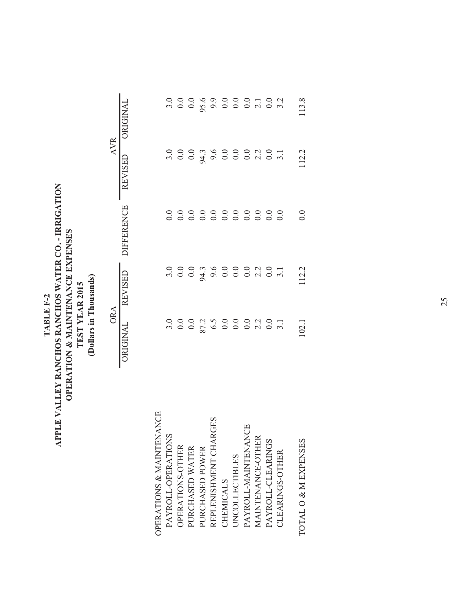| APPLE VALLEY RANCHOS RANCHOS WATER CO. - IRRIGATION<br>TABLE F-2 | OPERATION & MAINTENANCE EXPENSES | TEST YEAR 2015 | Dollars in Thousands) |
|------------------------------------------------------------------|----------------------------------|----------------|-----------------------|
|------------------------------------------------------------------|----------------------------------|----------------|-----------------------|

|                          | ORA               |         |                   | <b>AVR</b>     |          |
|--------------------------|-------------------|---------|-------------------|----------------|----------|
|                          | ORIGINAL          | REVISED | <b>DIFFERENCE</b> | <b>REVISED</b> | ORIGINAL |
| OPERATIONS & MAINTENANCE |                   |         |                   |                |          |
| PAYROLL-OPERATIONS       |                   |         |                   |                |          |
| OPERATIONS-OTHER         |                   |         |                   |                |          |
| PURCHASED WATER          |                   |         |                   |                |          |
| PURCHASED POWER          |                   |         |                   |                |          |
| REPLENISHMENT CHARGES    |                   |         |                   |                |          |
| CHEMICALS                |                   |         |                   |                |          |
| <b>JNCOLLECTIBLES</b>    |                   |         |                   |                |          |
| PAYROLL-MAINTENANCE      |                   |         |                   |                |          |
| MAINTENANCE-OTHER        |                   |         |                   |                |          |
| PAYROLL-CLEARINGS        |                   |         |                   |                |          |
| CLEARINGS-OTHER          |                   |         |                   |                |          |
| TOTAL O & M EXPENSES     | $\overline{02.1}$ | 12.2    | $\overline{0.0}$  | 12.2           | 13.8     |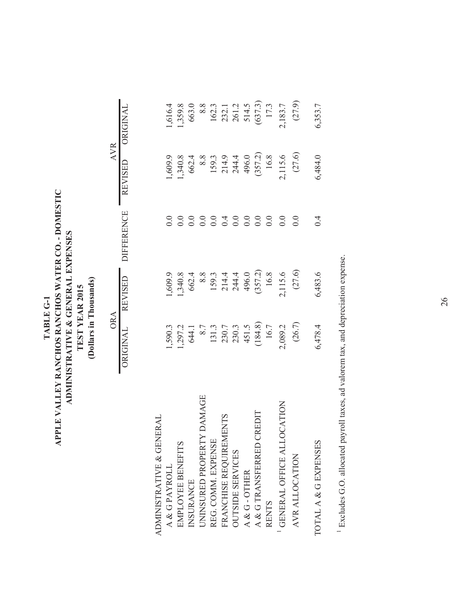### TABLE G-1<br>APPLE VALLEY RANCHOS RANCHOS WATER CO. - DOMESTIC **APPLE VALLEY RANCHOS RANCHOS WATER CO. - DOMESTIC** ADMINISTRATIVE & GENERAL EXPENSES **ADMINISTRATIVE & GENERAL EXPENSES** (Dollars in Thousands) **(Dollars in Thousands)** TEST YEAR 2015 **TEST YEAR 2015 TABLE G-1**

ORIGINAL REVISED DIFFERENCE REVISED ORIGINAL

**DIFFERENCE** 

ORIGINAL REVISED

ORA

REVISED ORIGINAL **AVR** 

ORA AVR

| ADMINISTRATIVE & GENERAL    |                                                                                          |                                                                                         |     |                                                                                 |                                                                                     |
|-----------------------------|------------------------------------------------------------------------------------------|-----------------------------------------------------------------------------------------|-----|---------------------------------------------------------------------------------|-------------------------------------------------------------------------------------|
| A & GPAYROLL                |                                                                                          |                                                                                         |     |                                                                                 | 1,616.4                                                                             |
| EMPLOYEE BENEFITS           |                                                                                          |                                                                                         |     |                                                                                 | 1,359.8                                                                             |
| INSURANCE                   |                                                                                          |                                                                                         |     |                                                                                 |                                                                                     |
| UNINSURED PROPERTY DAMAGE   |                                                                                          |                                                                                         |     |                                                                                 |                                                                                     |
| REG. COMM. EXPENSE          |                                                                                          |                                                                                         |     |                                                                                 |                                                                                     |
| FRANCHISE REQUIREMENTS      |                                                                                          |                                                                                         |     |                                                                                 |                                                                                     |
| <b>OUTSIDE SERVICES</b>     |                                                                                          |                                                                                         |     |                                                                                 |                                                                                     |
| A & G-OTHER                 |                                                                                          |                                                                                         |     |                                                                                 |                                                                                     |
| CREDIT<br>A & G TRANSFERRED |                                                                                          |                                                                                         |     |                                                                                 |                                                                                     |
| <b>RENTS</b>                |                                                                                          |                                                                                         |     |                                                                                 |                                                                                     |
| GENERAL OFFICE ALLOCATION   |                                                                                          |                                                                                         |     |                                                                                 |                                                                                     |
| AVR ALLOCATION              | 1,590.3<br>1,297.2<br>644.1<br>8.7<br>131.3<br>2,30.7<br>16.7<br>16.7<br>16.7<br>2,089.2 | 1,509.9<br>1,340.8<br>662.4<br>68.3<br>1,340.9<br>1,344.4<br>2,115.6<br>16.8<br>1,115.6 |     | 1,609.9<br>1,340.8<br>662.4<br>68.3<br>1,140.9<br>1,115.6<br>1,115.6<br>2,115.6 | 663.0<br>8.8<br>8.8<br>162.3<br>232.1<br>231.3<br>514.5<br>514.5<br>17.3<br>2,183.7 |
| TOTAL A & G EXPENSES        | 6,478.4                                                                                  | 6,483.6                                                                                 | 0.4 | 6,484.0                                                                         | 6,353.7                                                                             |

<sup>1</sup> Excludes G.O. allocated payroll taxes, ad valorem tax, and depreciation expense. Excludes G.O. allocated payroll taxes, ad valorem tax, and depreciation expense.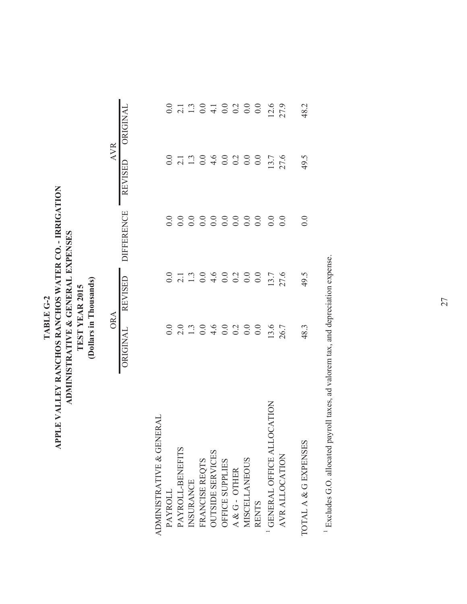| TABLE G-2 | APPLE VALLEY RANCHOS RANCHOS WATER CO. - IRRIGATION | ADMINISTRATIVE & GENERAL EXPENSES | TEST YEAR 2015 | Dollars in Thousands) |
|-----------|-----------------------------------------------------|-----------------------------------|----------------|-----------------------|
|-----------|-----------------------------------------------------|-----------------------------------|----------------|-----------------------|

|                              | ORA  |                                                             |                    | <b>AVR</b>                                                  |                  |
|------------------------------|------|-------------------------------------------------------------|--------------------|-------------------------------------------------------------|------------------|
|                              |      | ORIGINAL REVISED                                            | <b>DIFFERENCE</b>  | REVISED ORIGINAL                                            |                  |
|                              |      |                                                             |                    |                                                             |                  |
| ERAI<br>ADMINISTRATIVE & GEN |      |                                                             |                    |                                                             |                  |
| PAYROLL                      |      |                                                             |                    |                                                             |                  |
| PAYROLL-BENEFITS             |      |                                                             |                    |                                                             |                  |
| INSURANCE                    |      |                                                             |                    |                                                             |                  |
| FRANCISE REQTS               |      |                                                             |                    |                                                             |                  |
| <b>OUTSIDE SERVICES</b>      |      |                                                             |                    |                                                             |                  |
| OFFICE SUPPLIES              |      |                                                             |                    |                                                             |                  |
| A & G - OTHER                |      |                                                             |                    |                                                             |                  |
| <b>MISCELLANEOUS</b>         |      |                                                             |                    |                                                             |                  |
| <b>RENTS</b>                 |      |                                                             |                    |                                                             |                  |
| GENERAL OFFICE ALLOCATION    |      | 0<br>0 1 1 0 4 0 0 0 0 0 1 1 0<br>0 1 1 0 4 0 0 0 0 0 1 1 0 |                    | 0<br>0 1 1 0 4 0 0 0 0 0 1 1 0<br>0 1 1 0 4 0 0 0 0 0 1 1 0 | $12.6$<br>$27.9$ |
| AVR ALLOCATION               |      |                                                             | $\overline{0}$ .   |                                                             |                  |
| TOTAL A & G EXPENSES         | 48.3 | 49.5                                                        | $_{\odot}^{\rm O}$ | 49.5                                                        | 48.2             |

<sup>1</sup> Excludes G.O. allocated payroll taxes, ad valorem tax, and depreciation expense. Excludes G.O. allocated payroll taxes, ad valorem tax, and depreciation expense.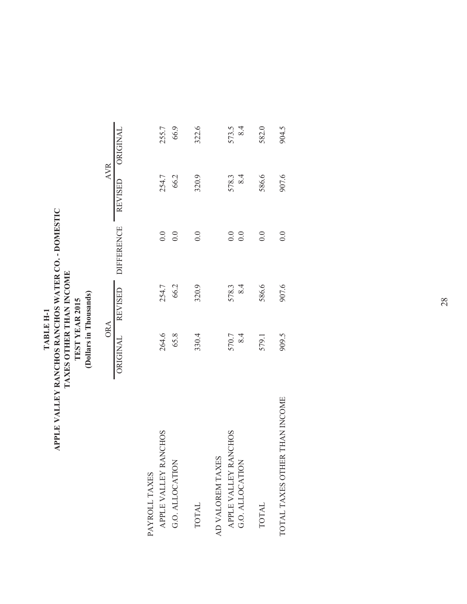### APPLE VALLEY RANCHOS RANCHOS WATER CO. - DOMESTIC TAXES OTHER THAN INCOME **APPLE VALLEY RANCHOS RANCHOS WATER CO. - DOMESTIC TAXES OTHER THAN INCOME** TEST YEAR 2015<br>(Dollars in Thousands) **(Dollars in Thousands) TEST YEAR 2015** TABLE H-1 **TABLE H-1**

|                               | <b>ORA</b> |                  |                             | <b>AVR</b> |       |
|-------------------------------|------------|------------------|-----------------------------|------------|-------|
|                               |            | ORIGINAL REVISED | DIFFERENCE REVISED ORIGINAL |            |       |
| PAYROLL TAXES                 |            |                  |                             |            |       |
| APPLE VALLEY RANCHOS          | 264.6      | 254.7            | 0.0                         | 254.7      | 255.7 |
| G.O. ALLOCATION               | 65.8       | 66.2             | 0.0                         | 66.2       | 66.9  |
| <b>TOTAL</b>                  | 330.4      | 320.9            | $\ddot{0}$ .                | 320.9      | 322.6 |
| AD VALOREM TAXES              |            |                  |                             |            |       |
| APPLE VALLEY RANCHOS          | 570.7      | 578.3            | 0.0                         | 578.3      | 573.5 |
| G.O. ALLOCATION               | 8.4        | 8.4              | 0.0                         | 8.4        | 8.4   |
| <b>TOTAL</b>                  | 579.1      | 586.6            | 0.0                         | 586.6      | 582.0 |
| TOTAL TAXES OTHER THAN INCOME | 909.5      | 907.6            | 0.0                         | 907.6      | 904.5 |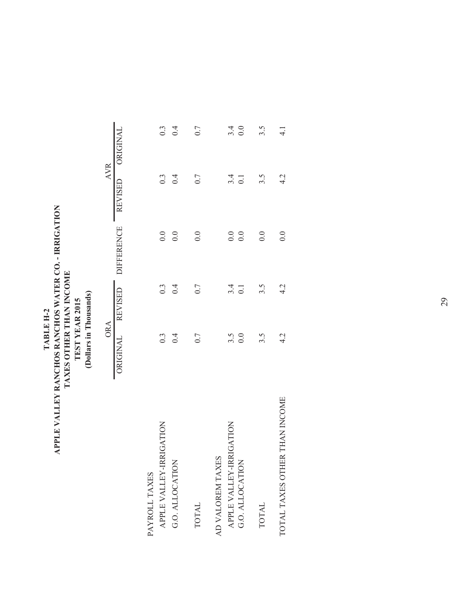### TABLE H-2<br>APPLE VALLEY RANCHOS RANCHOS WATER CO. - IRRIGATION **APPLE VALLEY RANCHOS RANCHOS WATER CO. - IRRIGATION** TAXES OTHER THAN INCOME **TAXES OTHER THAN INCOME** TEST YEAR 2015<br>(Dollars in Thousands) **(Dollars in Thousands) TEST YEAR 2015 TABLE H-2**

|                               | <b>ORA</b>              |                         |                                              |                         | <b>AVR</b>       |
|-------------------------------|-------------------------|-------------------------|----------------------------------------------|-------------------------|------------------|
|                               |                         |                         | ORIGINAL REVISED DIFFERENCE REVISED ORIGINAL |                         |                  |
| PAYROLL TAXES                 |                         |                         |                                              |                         |                  |
| APPLE VALLEY-IRRIGATION       | 0.3                     | $0.\overline{3}$        | 0.0                                          | $0.\overline{3}$        | $0.\overline{3}$ |
| G.O. ALLOCATION               | 0.4                     | 0.4                     | 0.0                                          | 0.4                     | 0.4              |
| TOTAL                         | 0.7                     | 0.7                     | 0.0                                          | 0.7                     | 0.7              |
| AD VALOREM TAXES              |                         |                         |                                              |                         |                  |
| APPLE VALLEY-IRRIGATION       |                         |                         | 0.0                                          |                         |                  |
| G.O. ALLOCATION               | $3.\overline{5}$<br>0.0 | $3.\overline{4}$<br>0.1 | 0.0                                          | $3.\overline{4}$<br>0.1 | $3.4$<br>0.0     |
| <b>TOTAL</b>                  | 3.5                     | 3.5                     | 0.0                                          | 3.5                     | 3.5              |
| TOTAL TAXES OTHER THAN INCOME | 4.2                     | 4.2                     | 0.0                                          | 4.2                     | $\frac{1}{4}$    |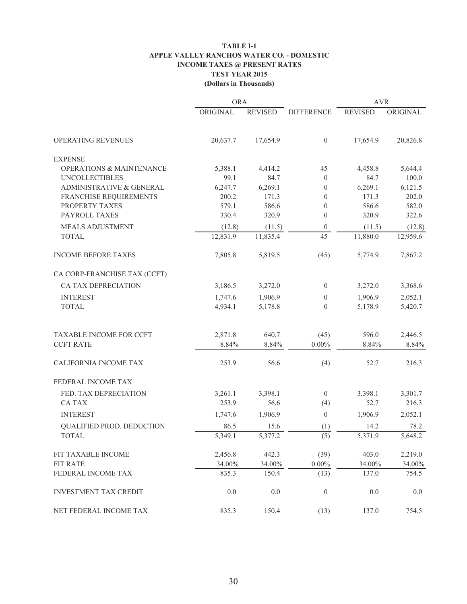#### **TABLE I-1 APPLE VALLEY RANCHOS WATER CO. - DOMESTIC INCOME TAXES @ PRESENT RATES TEST YEAR 2015 (Dollars in Thousands)**

|                                     | <b>ORA</b> |                |                   | <b>AVR</b>     |          |
|-------------------------------------|------------|----------------|-------------------|----------------|----------|
|                                     | ORIGINAL   | <b>REVISED</b> | <b>DIFFERENCE</b> | <b>REVISED</b> | ORIGINAL |
| <b>OPERATING REVENUES</b>           | 20,637.7   | 17,654.9       | $\boldsymbol{0}$  | 17,654.9       | 20,826.8 |
| <b>EXPENSE</b>                      |            |                |                   |                |          |
| <b>OPERATIONS &amp; MAINTENANCE</b> | 5,388.1    | 4,414.2        | 45                | 4,458.8        | 5,644.4  |
| <b>UNCOLLECTIBLES</b>               | 99.1       | 84.7           | $\mathbf{0}$      | 84.7           | 100.0    |
| ADMINISTRATIVE & GENERAL            | 6,247.7    | 6,269.1        | $\boldsymbol{0}$  | 6,269.1        | 6,121.5  |
| FRANCHISE REQUIREMENTS              | 200.2      | 171.3          | $\theta$          | 171.3          | 202.0    |
| PROPERTY TAXES                      | 579.1      | 586.6          | $\theta$          | 586.6          | 582.0    |
| PAYROLL TAXES                       | 330.4      | 320.9          | $\theta$          | 320.9          | 322.6    |
| MEALS ADJUSTMENT                    | (12.8)     | (11.5)         | $\boldsymbol{0}$  | (11.5)         | (12.8)   |
| <b>TOTAL</b>                        | 12,831.9   | 11,835.4       | 45                | 11,880.0       | 12,959.6 |
| <b>INCOME BEFORE TAXES</b>          | 7,805.8    | 5,819.5        | (45)              | 5,774.9        | 7,867.2  |
| CA CORP-FRANCHISE TAX (CCFT)        |            |                |                   |                |          |
| CA TAX DEPRECIATION                 | 3,186.5    | 3,272.0        | $\overline{0}$    | 3,272.0        | 3,368.6  |
| <b>INTEREST</b>                     | 1,747.6    | 1,906.9        | $\mathbf{0}$      | 1,906.9        | 2,052.1  |
| <b>TOTAL</b>                        | 4,934.1    | 5,178.8        | $\theta$          | 5,178.9        | 5,420.7  |
| TAXABLE INCOME FOR CCFT             | 2,871.8    | 640.7          | (45)              | 596.0          | 2,446.5  |
| <b>CCFT RATE</b>                    | 8.84%      | 8.84%          | $0.00\%$          | 8.84%          | 8.84%    |
| CALIFORNIA INCOME TAX               | 253.9      | 56.6           | (4)               | 52.7           | 216.3    |
| FEDERAL INCOME TAX                  |            |                |                   |                |          |
| FED. TAX DEPRECIATION               | 3,261.1    | 3,398.1        | $\overline{0}$    | 3,398.1        | 3,301.7  |
| <b>CATAX</b>                        | 253.9      | 56.6           | (4)               | 52.7           | 216.3    |
| <b>INTEREST</b>                     | 1,747.6    | 1,906.9        | $\boldsymbol{0}$  | 1,906.9        | 2,052.1  |
| QUALIFIED PROD. DEDUCTION           | 86.5       | 15.6           | (1)               | 14.2           | 78.2     |
| <b>TOTAL</b>                        | 5,349.1    | 5,377.2        | (5)               | 5,371.9        | 5,648.2  |
| FIT TAXABLE INCOME                  | 2,456.8    | 442.3          | (39)              | 403.0          | 2,219.0  |
| <b>FIT RATE</b>                     | 34.00%     | 34.00%         | $0.00\%$          | 34.00%         | 34.00%   |
| FEDERAL INCOME TAX                  | 835.3      | 150.4          | (13)              | 137.0          | 754.5    |
| <b>INVESTMENT TAX CREDIT</b>        | 0.0        | 0.0            | $\boldsymbol{0}$  | 0.0            | 0.0      |
| NET FEDERAL INCOME TAX              | 835.3      | 150.4          | (13)              | 137.0          | 754.5    |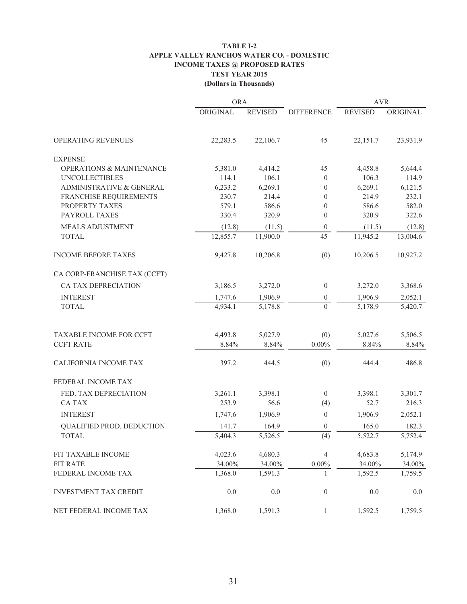#### **TABLE I-2 APPLE VALLEY RANCHOS WATER CO. - DOMESTIC INCOME TAXES @ PROPOSED RATES TEST YEAR 2015 (Dollars in Thousands)**

|                                     | <b>ORA</b> |                |                   | <b>AVR</b>     |          |
|-------------------------------------|------------|----------------|-------------------|----------------|----------|
|                                     | ORIGINAL   | <b>REVISED</b> | <b>DIFFERENCE</b> | <b>REVISED</b> | ORIGINAL |
| OPERATING REVENUES                  | 22,283.5   | 22,106.7       | 45                | 22,151.7       | 23,931.9 |
| <b>EXPENSE</b>                      |            |                |                   |                |          |
| <b>OPERATIONS &amp; MAINTENANCE</b> | 5,381.0    | 4,414.2        | 45                | 4,458.8        | 5,644.4  |
| <b>UNCOLLECTIBLES</b>               | 114.1      | 106.1          | $\theta$          | 106.3          | 114.9    |
| ADMINISTRATIVE & GENERAL            | 6,233.2    | 6,269.1        | $\boldsymbol{0}$  | 6,269.1        | 6,121.5  |
| FRANCHISE REQUIREMENTS              | 230.7      | 214.4          | $\mathbf{0}$      | 214.9          | 232.1    |
| PROPERTY TAXES                      | 579.1      | 586.6          | $\boldsymbol{0}$  | 586.6          | 582.0    |
| PAYROLL TAXES                       | 330.4      | 320.9          | $\theta$          | 320.9          | 322.6    |
| MEALS ADJUSTMENT                    | (12.8)     | (11.5)         | $\mathbf{0}$      | (11.5)         | (12.8)   |
| <b>TOTAL</b>                        | 12,855.7   | 11,900.0       | 45                | 11,945.2       | 13,004.6 |
| <b>INCOME BEFORE TAXES</b>          | 9,427.8    | 10,206.8       | (0)               | 10,206.5       | 10,927.2 |
| CA CORP-FRANCHISE TAX (CCFT)        |            |                |                   |                |          |
| CA TAX DEPRECIATION                 | 3,186.5    | 3,272.0        | $\boldsymbol{0}$  | 3,272.0        | 3,368.6  |
| <b>INTEREST</b>                     | 1,747.6    | 1,906.9        | $\mathbf{0}$      | 1,906.9        | 2,052.1  |
| <b>TOTAL</b>                        | 4,934.1    | 5,178.8        | $\theta$          | 5,178.9        | 5,420.7  |
| TAXABLE INCOME FOR CCFT             | 4,493.8    | 5,027.9        | (0)               | 5,027.6        | 5,506.5  |
| <b>CCFT RATE</b>                    | 8.84%      | 8.84%          | $0.00\%$          | 8.84%          | 8.84%    |
| CALIFORNIA INCOME TAX               | 397.2      | 444.5          | (0)               | 444.4          | 486.8    |
| FEDERAL INCOME TAX                  |            |                |                   |                |          |
| FED. TAX DEPRECIATION               | 3,261.1    | 3,398.1        | $\boldsymbol{0}$  | 3,398.1        | 3,301.7  |
| <b>CATAX</b>                        | 253.9      | 56.6           | (4)               | 52.7           | 216.3    |
| <b>INTEREST</b>                     | 1,747.6    | 1,906.9        | $\boldsymbol{0}$  | 1,906.9        | 2,052.1  |
| QUALIFIED PROD. DEDUCTION           | 141.7      | 164.9          | $\boldsymbol{0}$  | 165.0          | 182.3    |
| <b>TOTAL</b>                        | 5,404.3    | 5,526.5        | (4)               | 5,522.7        | 5,752.4  |
| FIT TAXABLE INCOME                  | 4,023.6    | 4,680.3        | $\overline{4}$    | 4,683.8        | 5,174.9  |
| <b>FIT RATE</b>                     | 34.00%     | 34.00%         | $0.00\%$          | 34.00%         | 34.00%   |
| FEDERAL INCOME TAX                  | 1,368.0    | 1,591.3        | 1                 | 1,592.5        | 1,759.5  |
| <b>INVESTMENT TAX CREDIT</b>        | 0.0        | 0.0            | $\boldsymbol{0}$  | 0.0            | 0.0      |
| NET FEDERAL INCOME TAX              | 1,368.0    | 1,591.3        | $\mathbf{1}$      | 1,592.5        | 1,759.5  |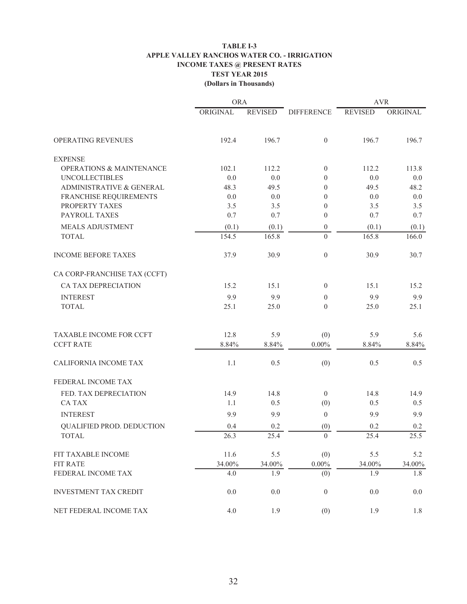#### **TABLE I-3 APPLE VALLEY RANCHOS WATER CO. - IRRIGATION INCOME TAXES @ PRESENT RATES TEST YEAR 2015 (Dollars in Thousands)**

|                                     | <b>ORA</b> |                |                   | <b>AVR</b>     |          |
|-------------------------------------|------------|----------------|-------------------|----------------|----------|
|                                     | ORIGINAL   | <b>REVISED</b> | <b>DIFFERENCE</b> | <b>REVISED</b> | ORIGINAL |
| OPERATING REVENUES                  | 192.4      | 196.7          | $\theta$          | 196.7          | 196.7    |
| <b>EXPENSE</b>                      |            |                |                   |                |          |
| <b>OPERATIONS &amp; MAINTENANCE</b> | 102.1      | 112.2          | $\overline{0}$    | 112.2          | 113.8    |
| <b>UNCOLLECTIBLES</b>               | 0.0        | 0.0            | $\theta$          | 0.0            | 0.0      |
| ADMINISTRATIVE & GENERAL            | 48.3       | 49.5           | $\mathbf{0}$      | 49.5           | 48.2     |
| FRANCHISE REQUIREMENTS              | 0.0        | 0.0            | $\theta$          | 0.0            | 0.0      |
| PROPERTY TAXES                      | 3.5        | 3.5            | $\theta$          | 3.5            | 3.5      |
| PAYROLL TAXES                       | 0.7        | 0.7            | $\mathbf{0}$      | 0.7            | 0.7      |
| <b>MEALS ADJUSTMENT</b>             | (0.1)      | (0.1)          | $\mathbf{0}$      | (0.1)          | (0.1)    |
| <b>TOTAL</b>                        | 154.5      | 165.8          | $\overline{0}$    | 165.8          | 166.0    |
| <b>INCOME BEFORE TAXES</b>          | 37.9       | 30.9           | $\mathbf{0}$      | 30.9           | 30.7     |
| CA CORP-FRANCHISE TAX (CCFT)        |            |                |                   |                |          |
| CA TAX DEPRECIATION                 | 15.2       | 15.1           | $\mathbf{0}$      | 15.1           | 15.2     |
| <b>INTEREST</b>                     | 9.9        | 9.9            | $\mathbf{0}$      | 9.9            | 9.9      |
| <b>TOTAL</b>                        | 25.1       | 25.0           | $\mathbf{0}$      | 25.0           | 25.1     |
| TAXABLE INCOME FOR CCFT             | 12.8       | 5.9            | (0)               | 5.9            | 5.6      |
| <b>CCFT RATE</b>                    | 8.84%      | 8.84%          | $0.00\%$          | 8.84%          | 8.84%    |
| CALIFORNIA INCOME TAX               | 1.1        | 0.5            | (0)               | 0.5            | 0.5      |
| FEDERAL INCOME TAX                  |            |                |                   |                |          |
| FED. TAX DEPRECIATION               | 14.9       | 14.8           | $\mathbf{0}$      | 14.8           | 14.9     |
| <b>CATAX</b>                        | 1.1        | 0.5            | (0)               | 0.5            | 0.5      |
| <b>INTEREST</b>                     | 9.9        | 9.9            | $\boldsymbol{0}$  | 9.9            | 9.9      |
| QUALIFIED PROD. DEDUCTION           | 0.4        | 0.2            | (0)               | 0.2            | 0.2      |
| <b>TOTAL</b>                        | 26.3       | 25.4           | $\Omega$          | 25.4           | 25.5     |
| FIT TAXABLE INCOME                  | 11.6       | 5.5            | (0)               | 5.5            | 5.2      |
| <b>FIT RATE</b>                     | 34.00%     | 34.00%         | $0.00\%$          | 34.00%         | 34.00%   |
| FEDERAL INCOME TAX                  | 4.0        | 1.9            | (0)               | 1.9            | 1.8      |
| <b>INVESTMENT TAX CREDIT</b>        | 0.0        | 0.0            | $\boldsymbol{0}$  | 0.0            | 0.0      |
| NET FEDERAL INCOME TAX              | 4.0        | 1.9            | (0)               | 1.9            | 1.8      |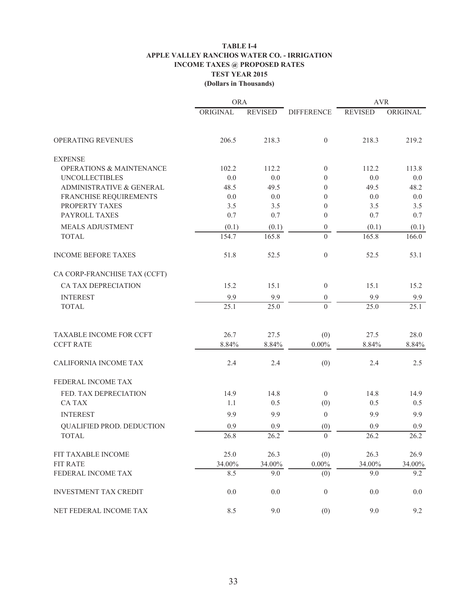#### **TABLE I-4 APPLE VALLEY RANCHOS WATER CO. - IRRIGATION INCOME TAXES @ PROPOSED RATES TEST YEAR 2015 (Dollars in Thousands)**

|                                     | <b>ORA</b> |                |                   | <b>AVR</b>     |          |
|-------------------------------------|------------|----------------|-------------------|----------------|----------|
|                                     | ORIGINAL   | <b>REVISED</b> | <b>DIFFERENCE</b> | <b>REVISED</b> | ORIGINAL |
| OPERATING REVENUES                  | 206.5      | 218.3          | $\theta$          | 218.3          | 219.2    |
| <b>EXPENSE</b>                      |            |                |                   |                |          |
| <b>OPERATIONS &amp; MAINTENANCE</b> | 102.2      | 112.2          | $\overline{0}$    | 112.2          | 113.8    |
| <b>UNCOLLECTIBLES</b>               | 0.0        | 0.0            | $\mathbf{0}$      | 0.0            | 0.0      |
| ADMINISTRATIVE & GENERAL            | 48.5       | 49.5           | $\Omega$          | 49.5           | 48.2     |
| FRANCHISE REQUIREMENTS              | 0.0        | 0.0            | $\mathbf{0}$      | 0.0            | 0.0      |
| PROPERTY TAXES                      | 3.5        | 3.5            | $\mathbf{0}$      | 3.5            | 3.5      |
| PAYROLL TAXES                       | 0.7        | 0.7            | $\mathbf{0}$      | 0.7            | 0.7      |
| MEALS ADJUSTMENT                    | (0.1)      | (0.1)          | $\boldsymbol{0}$  | (0.1)          | (0.1)    |
| <b>TOTAL</b>                        | 154.7      | 165.8          | $\overline{0}$    | 165.8          | 166.0    |
| <b>INCOME BEFORE TAXES</b>          | 51.8       | 52.5           | $\mathbf{0}$      | 52.5           | 53.1     |
| CA CORP-FRANCHISE TAX (CCFT)        |            |                |                   |                |          |
| CA TAX DEPRECIATION                 | 15.2       | 15.1           | $\mathbf{0}$      | 15.1           | 15.2     |
| <b>INTEREST</b>                     | 9.9        | 9.9            | $\mathbf{0}$      | 9.9            | 9.9      |
| <b>TOTAL</b>                        | 25.1       | 25.0           | $\Omega$          | 25.0           | 25.1     |
| TAXABLE INCOME FOR CCFT             | 26.7       | 27.5           | (0)               | 27.5           | 28.0     |
| <b>CCFT RATE</b>                    | 8.84%      | 8.84%          | $0.00\%$          | 8.84%          | 8.84%    |
| CALIFORNIA INCOME TAX               | 2.4        | 2.4            | (0)               | 2.4            | 2.5      |
| FEDERAL INCOME TAX                  |            |                |                   |                |          |
| FED. TAX DEPRECIATION               | 14.9       | 14.8           | $\mathbf{0}$      | 14.8           | 14.9     |
| <b>CATAX</b>                        | 1.1        | 0.5            | (0)               | 0.5            | 0.5      |
| <b>INTEREST</b>                     | 9.9        | 9.9            | $\boldsymbol{0}$  | 9.9            | 9.9      |
| QUALIFIED PROD. DEDUCTION           | 0.9        | 0.9            | (0)               | 0.9            | 0.9      |
| <b>TOTAL</b>                        | 26.8       | 26.2           | $\Omega$          | 26.2           | 26.2     |
| FIT TAXABLE INCOME                  | 25.0       | 26.3           | (0)               | 26.3           | 26.9     |
| <b>FIT RATE</b>                     | 34.00%     | 34.00%         | $0.00\%$          | 34.00%         | 34.00%   |
| FEDERAL INCOME TAX                  | 8.5        | 9.0            | (0)               | 9.0            | 9.2      |
| <b>INVESTMENT TAX CREDIT</b>        | 0.0        | 0.0            | $\boldsymbol{0}$  | 0.0            | 0.0      |
| NET FEDERAL INCOME TAX              | 8.5        | 9.0            | (0)               | 9.0            | 9.2      |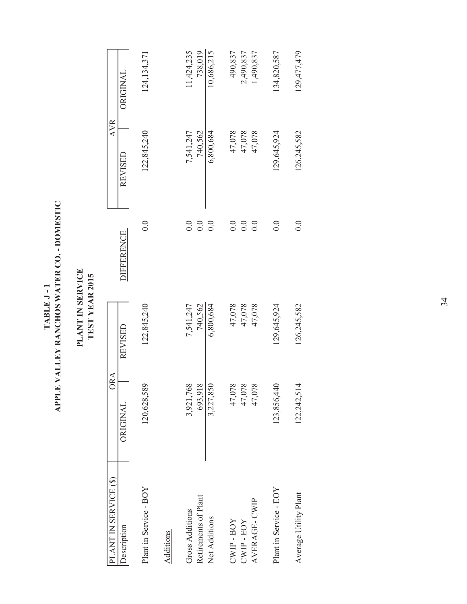| י<br>ג<br>OMEST<br>Y RANCHOS WATER CO. -<br>I<br><b>TABLE J</b><br>VALLE <sup>-</sup><br>PLE <sup>1</sup> |
|-----------------------------------------------------------------------------------------------------------|
|-----------------------------------------------------------------------------------------------------------|

### PLANT IN SERVICE<br>TEST YEAR 2015 **PLANT IN SERVICE TEST YEAR 2015**

| PLANT IN SERVICE (\$)  | ORA             |             |                   | <b>AVR</b>  |               |
|------------------------|-----------------|-------------|-------------------|-------------|---------------|
| <b>Description</b>     | <b>ORIGINAL</b> | REVISED     | <b>DIFFERENCE</b> | REVISED     | ORIGINAL      |
| Plant in Service - BOY | 120,628,589     | 122,845,240 | 0.0               | 122,845,240 | 124, 134, 371 |
| Additions              |                 |             |                   |             |               |
| <b>Gross Additions</b> | 3,921,768       | 7,541,247   | 0.0               | 7,541,247   | 11,424,235    |
| Retirements of Plant   | 693,918         | 740,562     | $\rm{C}$          | 740,562     | 738,019       |
| Net Additions          | 3,227,850       | 6,800,684   | 0.0               | 6,800,684   | 10,686,215    |
| $CWD - BOY$            | 47,078          | 47,078      | 0.0               | 47,078      | 490,837       |
| $CWD - EOY$            | 47,078          | 47,078      | $_{\rm 0.0}$      | 47,078      | 2,490,837     |
| AVERAGE-CWIP           | 47,078          | 47,078      | 0.0               | 47,078      | 1,490,837     |
| Plant in Service - EOY | 123,856,440     | 129,645,924 | $_{\odot}$        | 129,645,924 | 134,820,587   |
| Average Utility Plant  | 122,242,51      | 126,245,582 | $_{\odot}$        | 126,245,582 | 129,477,479   |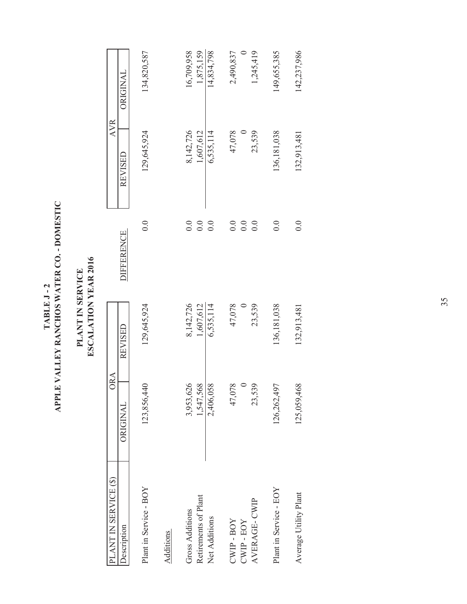TABLE J - 2<br>APPLE VALLEY RANCHOS WATER CO. - DOMESTIC **APPLE VALLEY RANCHOS WATER CO. - DOMESTIC TABLE J - 2**

### PLANT IN SERVICE<br>ESCALATION YEAR 2016 **ESCALATION YEAR 2016 PLANT IN SERVICE**

| PLANT IN SERVICE (\$)  | ORA         |             |                   | <b>AVR</b>  |                 |
|------------------------|-------------|-------------|-------------------|-------------|-----------------|
| Description            | ORIGINAL    | REVISED     | <b>DIFFERENCE</b> | REVISED     | <b>ORIGINAL</b> |
| Plant in Service - BOY | 123,856,440 | 129,645,924 | 0.0               | 129,645,924 | 134,820,587     |
| Additions              |             |             |                   |             |                 |
| <b>Gross Additions</b> | 3,953,626   | 8,142,726   | 0.0               | 8,142,726   | 16,709,958      |
| Retirements of Plant   | 1,547,568   | 1,607,612   | 0.0               | 1,607,612   | 1,875,159       |
| Net Additions          | 2,406,058   | 6,535,114   | 0.0               | 6,535,114   | 14,834,798      |
| $CWP - BOY$            | ୧<br>47,07  | 47,078      | 0.0               | 47,078      | 2,490,837       |
| CWIP-EOY               |             |             | 0.0               |             |                 |
| AVERAGE-CWIP           | 2<br>23,53  | 23,539      | 0.0               | 23,539      | 1,245,419       |
| Plant in Service - EOY | 126,262,497 | 136,181,038 | 0.0               | 136,181,038 | 149,655,385     |
| Average Utility Plant  | 125,059,468 | 132,913,481 | 0.0               | 132,913,481 | 142,237,986     |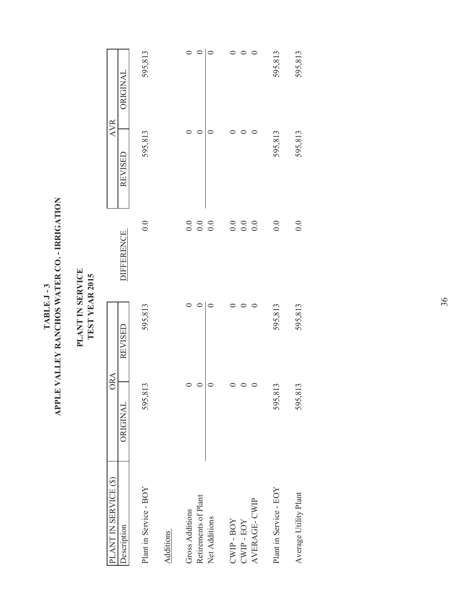| $\frac{1}{2}$ CO. -                                                |
|--------------------------------------------------------------------|
| WATER<br>TABLE J<br><b>Z RANCHO</b><br>VALLEY<br>PPLE <sup>1</sup> |

### PLANT IN SERVICE<br>TEST YEAR 2015 **PLANT IN SERVICE TEST YEAR 2015**

| PLANT IN SERVICE (\$)                   | ORA         |         |                   | <b>AVR</b> |                 |
|-----------------------------------------|-------------|---------|-------------------|------------|-----------------|
| Description                             | ORIGINAL    | REVISED | <b>DIFFERENCE</b> | REVISED    | <b>ORIGINAL</b> |
| Plant in Service - BOY                  | 3<br>595,81 | 595,813 | 0.0               | 595,813    | 595,813         |
| Additions                               |             |         |                   |            |                 |
| Retirements of Plant<br>Gross Additions | $\circ$     |         | 0.0<br>0.0        |            |                 |
| Net Additions                           | $\circ$     |         | 0.0               |            |                 |
| $CWP - BOY$                             |             |         | 0.0               |            |                 |
| $CWD$ - $EOY$                           |             |         | 0.0               |            |                 |
| AVERAGE-CWIP                            |             |         | 0.0               |            |                 |
| Plant in Service - EOY                  | 3<br>595,81 | 595,813 | 0.0               | 595,813    | 595,813         |
| Average Utility Plant                   | ن<br>595,81 | 595,813 | 0.0               | 595,813    | 595,813         |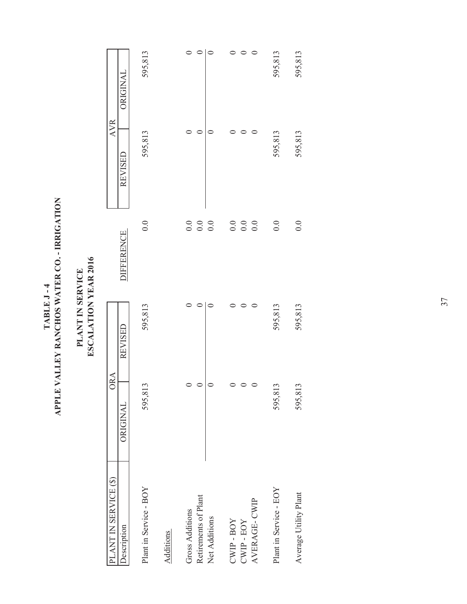| <b>PICATION</b><br>į<br><b>Y RANCHOS WATER CO</b><br>$T$ $\wedge$ $R$ $R$ , $R$ , $q$<br>VALLEY<br>PLE. |  |
|---------------------------------------------------------------------------------------------------------|--|
|---------------------------------------------------------------------------------------------------------|--|

### PLANT IN SERVICE<br>ESCALATION YEAR 2016 **ESCALATION YEAR 2016 PLANT IN SERVICE**

| PLANT IN SERVICE (\$)  | ORA                      |         |                   | <b>AVR</b> |                 |
|------------------------|--------------------------|---------|-------------------|------------|-----------------|
| Description            | ORIGINAL                 | REVISED | <b>DIFFERENCE</b> | REVISED    | <b>ORIGINAL</b> |
| Plant in Service - BOY | 3<br>595,81              | 595,813 | 0.0               | 595,813    | 595,813         |
| Additions              |                          |         |                   |            |                 |
| Gross Additions        |                          |         | 0.0               |            |                 |
| Retirements of Plant   | $\circ$                  |         | $0.0\,$           |            |                 |
| Net Additions          | $\circ$                  |         | 0.0               |            |                 |
| $CWD - BOY$            |                          |         | 0.0               |            |                 |
| $CWD$ - $EOY$          | $\circ$                  |         | 0.0               |            |                 |
| AVERAGE-CWIP           | $\circ$                  |         | 0.0               |            |                 |
| Plant in Service - EOY | $\mathfrak{c}$<br>595,81 | 595,813 | 0.0               | 595,813    | 595,813         |
| Average Utility Plant  | 595,81                   | 595,813 | 0.0               | 595,813    | 595,813         |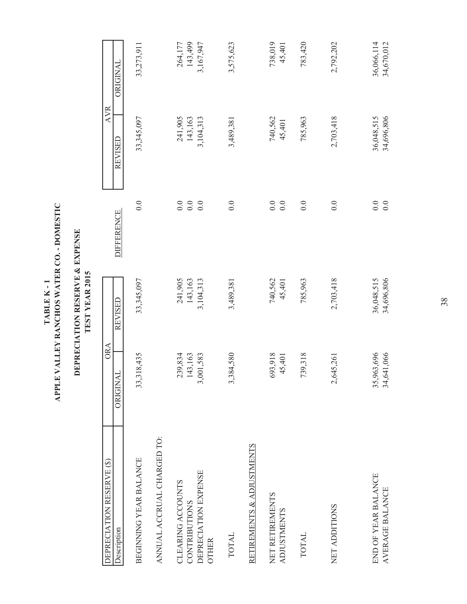| ۱<br>پا<br>OMESTY<br>Y RANCHOS WATER CO. - I<br>TABLE K-1<br>VALLEY<br>PLE \ |
|------------------------------------------------------------------------------|
|------------------------------------------------------------------------------|

## DEPRECIATION RESERVE & EXPENSE<br>TEST YEAR 2015 **DEPRECIATION RESERVE & EXPENSE TEST YEAR 2015**

| DEPRECIATION RESERVE (\$)<br><b>Description</b>       | ORA<br>$\overline{\rm Al}$<br>ORIGIN | REVISED                  | <b>DIFFERENCE</b>   | <b>AVR</b><br>REVISED    | ORIGINAL                 |
|-------------------------------------------------------|--------------------------------------|--------------------------|---------------------|--------------------------|--------------------------|
| <b>BEGINNING YEAR BALANCE</b>                         | ,318,435<br>33                       | 33,345,097               | 0.0                 | 33,345,097               | 33,273,911               |
| ANNUAL ACCRUAL CHARGED TO:                            |                                      |                          |                     |                          |                          |
| CLEARING ACCOUNTS                                     | 239,834                              | 241,905                  |                     | 241,905                  | 264,177                  |
| DEPRECIATION EXPENSE<br>CONTRIBUTIONS<br><b>OTHER</b> | 143,163<br>,001,583<br>$\omega$      | 143,163<br>3,104,313     | $0.0$<br>0.0<br>0.0 | 143,163<br>3,104,313     | 143,499<br>3,167,947     |
| <b>TOTAL</b>                                          | 3,384,580                            | 3,489,381                | 0.0                 | 3,489,381                | 3,575,623                |
| RETIREMENTS & ADJUSTMENTS                             |                                      |                          |                     |                          |                          |
| NET RETIREMENTS<br><b>ADJUSTMENTS</b>                 | 693,918<br>45,401                    | 740,562<br>45,401        | 0.0<br>$0.0\,$      | 740,562<br>45,401        | 738,019<br>45,401        |
| <b>TOTAL</b>                                          | 739,318                              | 785,963                  | 0.0                 | 785,963                  | 783,420                  |
| NET ADDITIONS                                         | 2,645,261                            | 2,703,418                | 0.0                 | 2,703,418                | 2,792,202                |
| END OF YEAR BALANCE<br>AVERAGE BALANCE                | 35,963,696<br>34,641,066             | 36,048,515<br>34,696,806 | $0.0\,$<br>0.0      | 36,048,515<br>34,696,806 | 36,066,114<br>34,670,012 |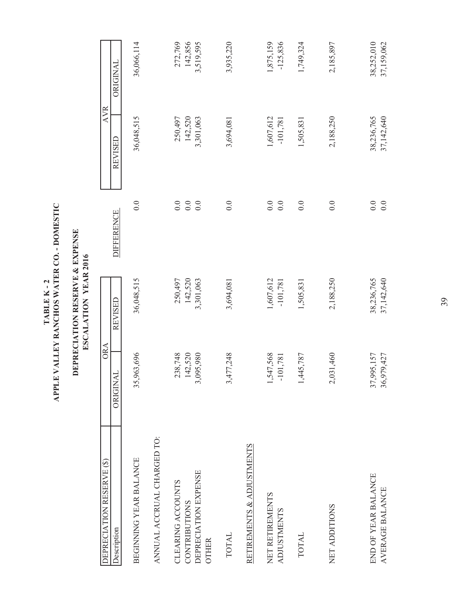| <b>DILSTINO</b><br>VALLEY RANCHOS WATER CO. - I<br>TABLE K-2<br>PLE <sup>1</sup> |
|----------------------------------------------------------------------------------|
|----------------------------------------------------------------------------------|

## DEPRECIATION RESERVE & EXPENSE<br>ESCALATION YEAR 2016 **DEPRECIATION RESERVE & EXPENSE ESCALATION YEAR 2016**

| DEPRECIATION RESERVE (\$)            | <b>ORA</b>                 |            |                   | <b>AVR</b> |            |
|--------------------------------------|----------------------------|------------|-------------------|------------|------------|
| Description                          | Ч<br>ORIGIN                | REVISED    | <b>DIFFERENCE</b> | REVISED    | ORIGINAL   |
| <b>BEGINNING YEAR BALANCE</b>        | 35,963,696                 | 36,048,515 | 0.0               | 36,048,515 | 36,066,114 |
| ANNUAL ACCRUAL CHARGED TO:           |                            |            |                   |            |            |
| CLEARING ACCOUNTS                    | 238,748                    | 250,497    | 0.0               | 250,497    | 272,769    |
| CONTRIBUTIONS                        | 142,520                    | 142,520    | $0.0\,$           | 142,520    | 142,856    |
| DEPRECIATION EXPENSE<br><b>OTHER</b> | ,095,980<br>$\mathfrak{c}$ | 3,301,063  | 0.0               | 3,301,063  | 3,519,595  |
| <b>TOTAL</b>                         | ,477,248<br>$\mathfrak{c}$ | 3,694,081  | 0.0               | 3,694,081  | 3,935,220  |
| RETIREMENTS & ADJUSTMENTS            |                            |            |                   |            |            |
| NET RETIREMENTS                      | .,547,568                  | 1,607,612  | $0.0\,$           | 1,607,612  | 1,875,159  |
| <b>ADJUSTMENTS</b>                   | $-101,781$                 | $-101,781$ | 0.0               | $-101,781$ | $-125,836$ |
| <b>TOTAL</b>                         | 1,445,787                  | 1,505,831  | 0.0               | 1,505,831  | 1,749,324  |
| NET ADDITIONS                        | 2,031,460                  | 2,188,250  | 0.0               | 2,188,250  | 2,185,897  |
| END OF YEAR BALANCE                  | 7,995,157<br>37            | 38,236,765 | 0.0               | 38,236,765 | 38,252,010 |
| AVERAGE BALANCE                      | 36,979,427                 | 37,142,640 | 0.0               | 37,142,640 | 37,159,062 |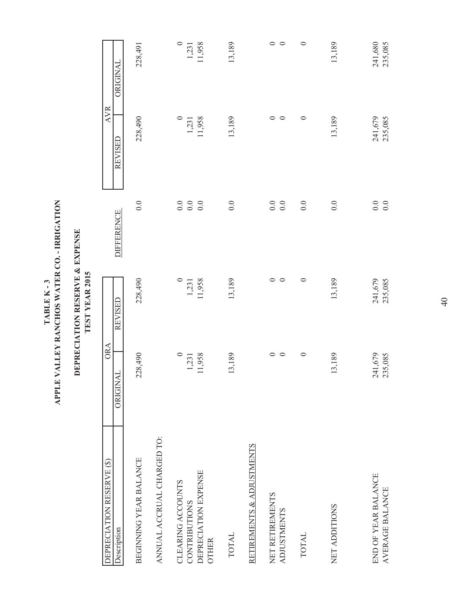|                                               |                    | TEST YEAR 2015     |                                           |                    |                                           |
|-----------------------------------------------|--------------------|--------------------|-------------------------------------------|--------------------|-------------------------------------------|
| <b>DEPRECIATION RESERVE (\$)</b>              | ORA                |                    |                                           | <b>AVR</b>         |                                           |
| Description                                   | ORIGINAL           | REVISED            | <b>DIFFERENCE</b>                         | REVISED            | ORIGINAL                                  |
| BEGINNING YEAR BALANCE                        | 228,490            | 228,490            | $0.0\,$                                   | 228,490            | 228,491                                   |
| ANNUAL ACCRUAL CHARGED TO:                    |                    |                    |                                           |                    |                                           |
| CLEARING ACCOUNTS                             |                    |                    |                                           |                    |                                           |
| <b>CONTRIBUTIONS</b>                          | $\frac{0}{1,231}$  | 1,231              |                                           |                    | $\begin{array}{c} 0 \\ 1,231 \end{array}$ |
| DEPRECIATION EXPENSE<br><b>OTHER</b>          | 11,958             | 11,958             |                                           | 1,231<br>11,958    | 11,958                                    |
| <b>TOTAL</b>                                  | 13,189             | 13,189             | 0.0                                       | 13,189             | 13,189                                    |
| RETIREMENTS & ADJUSTMENTS                     |                    |                    |                                           |                    |                                           |
| NET RETIREMENTS                               | $\circ$            | $\circ$            | $0.0\,$                                   | ○                  | $\circ$                                   |
| <b>ADJUSTMENTS</b>                            | $\circ$            | $\circ$            | $0.0\,$                                   | $\circ$            | $\circ$                                   |
| <b>TOTAL</b>                                  | $\circ$            | $\circ$            | $0.0\,$                                   | $\circ$            | $\circ$                                   |
| NET ADDITIONS                                 | 13,189             | 13,189             | 0.0                                       | 13,189             | 13,189                                    |
| END OF YEAR BALANCE<br><b>AVERAGE BALANCE</b> | 241,679<br>235,085 | 235,085<br>241,679 | $\begin{array}{c} 0.0 \\ 0.0 \end{array}$ | 235,085<br>241,679 | 241,680<br>235,085                        |

# ${\bf TABLE \,\,K\mbox{-}3}$  APLE VALLEY RANCHOS WATER CO. - IRRIGATION **APPLE VALLEY RANCHOS WATER CO. - IRRIGATION TABLE K - 3**

**DEPRECIATION RESERVE & EXPENSE**

DEPRECIATION RESERVE & EXPENSE

40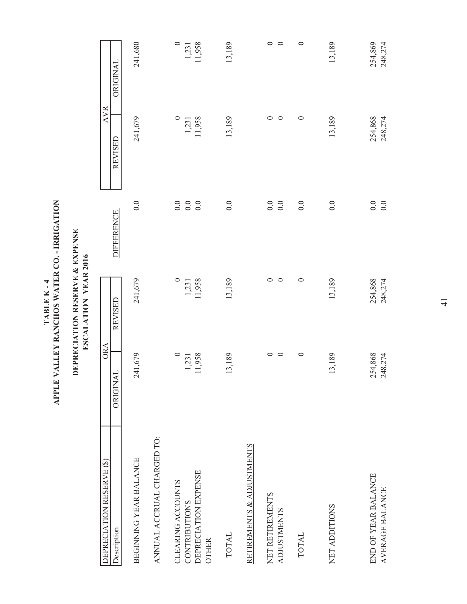| PPLE VALLEY RANCHOS WATER CO. - IRRIGATION<br>TABLE K-4 |
|---------------------------------------------------------|
|---------------------------------------------------------|

## DEPRECIATION RESERVE & EXPENSE<br>ESCALATION YEAR 2016 **DEPRECIATION RESERVE & EXPENSE ESCALATION YEAR 2016**

| DEPRECIATION RESERVE (\$)            | ORA                      |                 |                   | <b>AVR</b>      |                 |
|--------------------------------------|--------------------------|-----------------|-------------------|-----------------|-----------------|
| <b>Description</b>                   | $\overline{A}$<br>ORIGIN | REVISED         | <b>DIFFERENCE</b> | REVISED         | ORIGINAL        |
| <b>BEGINNING YEAR BALANCE</b>        | 241,679                  | 241,679         | 0.0               | 241,679         | 241,680         |
| ANNUAL ACCRUAL CHARGED TO:           |                          |                 |                   |                 |                 |
| CLEARING ACCOUNTS                    | $\circ$                  |                 |                   |                 | $\circ$         |
| CONTRIBUTIONS                        | 1,231<br>11,958          | 1,231<br>11,958 |                   | 1,231<br>11,958 | 1,231<br>11,958 |
| DEPRECIATION EXPENSE<br><b>OTHER</b> |                          |                 |                   |                 |                 |
| <b>TOTAL</b>                         | 13,189                   | 13,189          | 0.0               | 13,189          | 13,189          |
| RETIREMENTS & ADJUSTMENTS            |                          |                 |                   |                 |                 |
| NET RETIREMENTS                      | 0                        | $\circ$         |                   | $\circ$         | $\circ$         |
| <b>ADJUSTMENTS</b>                   | ○                        | $\circ$         | 0.0               | $\circ$         | $\circ$         |
| <b>TOTAL</b>                         | $\circ$                  | $\circ$         | 0.0               | $\circ$         | $\circ$         |
|                                      |                          |                 |                   |                 |                 |
| NET ADDITIONS                        | 13,189                   | 13,189          | 0.0               | 13,189          | 13,189          |
|                                      |                          |                 |                   |                 |                 |
| END OF YEAR BALANCE                  | 254,868                  | 254,868         | $0.0\,$           | 254,868         | 254,869         |
| AVERAGE BALANCE                      | 248,274                  | 248,274         | $0.0\,$           | 248,274         | 248,274         |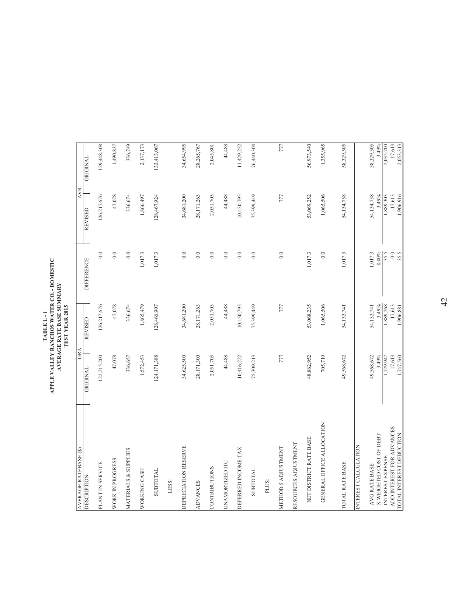### TABLE L-1<br>APPLE VALLEY RANCHOS WATER CO. - DOMESTIC<br>AVERAGE RATE BASE SUMMARY<br>TEST VEAR 2015 **APPLE VALLEY RANCHOS WATER CO. - DOMESTIC AVERAGE RATE BASE SUMMARY TEST YEAR 2015 TABLE L - 1**

| 126,217,676<br>47,078<br>336,674<br>1,865,479<br><b>REVISED</b><br><b>ORA</b><br>122,215,200<br>47,078<br>336,657<br>124, 171, 388<br>1,572,453<br>ORIGINAL<br>AVERAGE RATEBASE (\$)<br>MATERIALS & SUPPLIES<br>WORK IN PROGRESS<br>PLANT IN SERVICE<br>WORKING CASH<br>SUBTOTAL<br><b>DESCRIPTION</b> | <b>DIFFERENCE</b> | 0.0              | <b>AVR</b><br>126,217,676<br><b>REVISED</b> | <b>ORIGINAL</b>     |
|--------------------------------------------------------------------------------------------------------------------------------------------------------------------------------------------------------------------------------------------------------------------------------------------------------|-------------------|------------------|---------------------------------------------|---------------------|
|                                                                                                                                                                                                                                                                                                        |                   |                  |                                             |                     |
|                                                                                                                                                                                                                                                                                                        |                   |                  |                                             | 129,448,308         |
|                                                                                                                                                                                                                                                                                                        |                   | 0.0              | 47,078                                      | 1,490,837           |
|                                                                                                                                                                                                                                                                                                        |                   | 0.0              | 336,674                                     | 336,749             |
|                                                                                                                                                                                                                                                                                                        |                   | 1,017.3          | 1,866,497                                   | 2,137,173           |
|                                                                                                                                                                                                                                                                                                        | 128,466,907       | 1,017.3          | 128,467,924                                 | 133,413,067         |
| LESS:                                                                                                                                                                                                                                                                                                  |                   |                  |                                             |                     |
| 34,681,200<br>34,625,500<br>DEPRECIATION RESERVE                                                                                                                                                                                                                                                       |                   | 0.0              | 34,681,200                                  | 34,654,995          |
| 28,171,263<br>28,171,300<br><b>ADVANCES</b>                                                                                                                                                                                                                                                            |                   | 0.0              | 28,171,263                                  | 28,265,767          |
| 2,051,703<br>2,051,703<br>CONTRIBUTIONS                                                                                                                                                                                                                                                                |                   | 0.0              | 2,051,703                                   | 2,045,801           |
| 44,488<br>44,488<br><b>UNAMORTIZED ITC</b>                                                                                                                                                                                                                                                             |                   | 0.0              | 44,488                                      | 44,488              |
| 10,450,795<br>10,416,222<br>DEFERRED INCOME TAX                                                                                                                                                                                                                                                        |                   | 0.0              | 10,450,795                                  | 11,429,252          |
| 75,399,449<br>75,309,213<br><b>TVLOLBIDE</b>                                                                                                                                                                                                                                                           |                   | 0.0              | 75,399,449                                  | 76,440,304          |
| PLUS:                                                                                                                                                                                                                                                                                                  |                   |                  |                                             |                     |
| 777<br>777<br>METHOD 5 ADJUSTMENT                                                                                                                                                                                                                                                                      |                   | 0.0              | 777                                         | 777                 |
| RESOURCES ADJUSTMENT                                                                                                                                                                                                                                                                                   |                   |                  |                                             |                     |
| 53,068,235<br>48,862,952<br>NET DISTRICT RATE BASE                                                                                                                                                                                                                                                     |                   | 1,017.3          | 53,069,252                                  | 56,973,540          |
| 1,065,506<br>705,719<br>GENERAL OFFICE ALLOCATION                                                                                                                                                                                                                                                      |                   | 0.0              | 1,065,506                                   | 1,355,965           |
| 54,133,741<br>49,568,672<br>TOTAL RATE BASE                                                                                                                                                                                                                                                            |                   | 1,017.3          | 54,134,758                                  | 58,329,505          |
| INTEREST CALCULATION                                                                                                                                                                                                                                                                                   |                   |                  |                                             |                     |
| 54,133,741<br>49,568,672<br>AVG RATE BASE                                                                                                                                                                                                                                                              |                   | 1,017.3          | 54,134,758                                  | 58,329,505          |
| 3.49%<br>3.49%<br>X WEIGHTED COST OF DEBT                                                                                                                                                                                                                                                              |                   | $0.00\%$         | 3.49%                                       | 3.49%               |
| 1,889,268<br>1,729,947<br>INTEREST EXPENSE                                                                                                                                                                                                                                                             |                   | 35.5             | 1,889,303                                   | 2,035,700           |
| 17,613<br>1,906,881<br>1,747,560<br>17,613<br>ADD INTEREST FOR ADVANCES<br>TOTAL INTEREST DEDUCTION                                                                                                                                                                                                    |                   | $rac{0.0}{35.5}$ | 1,906,916<br>17,613                         | 17,613<br>2,053,313 |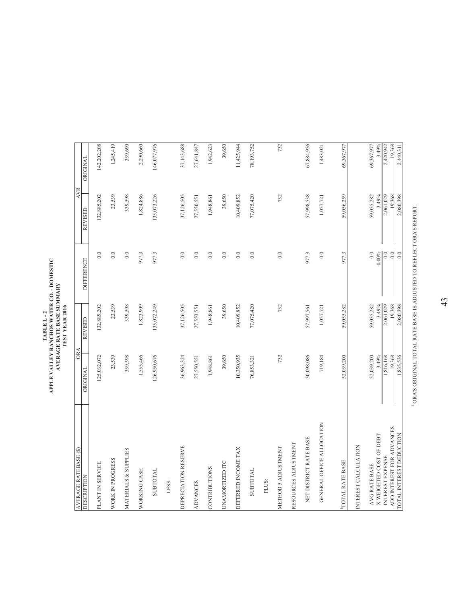### TABLE L-2<br>APPLE VALLEY RANCHOS WATER CO. - DOMESTIC<br>AVERAGE RATE BASE SUMMARY<br>TEST VEAR 2016 **APPLE VALLEY RANCHOS WATER CO. - DOMESTIC AVERAGE RATE BASE SUMMARY TEST YEAR 2016 TABLE L - 2**

| (\$) SEVELLVA EDVAHAV                                 | <b>ORA</b>         |                     |                                | <b>AVR</b>          |                     |
|-------------------------------------------------------|--------------------|---------------------|--------------------------------|---------------------|---------------------|
| <b>DESCRIPTION</b>                                    | ORIGINAL           | <b>REVISED</b>      | <b>DIFFERENCE</b>              | <b>REVISED</b>      | <b>ORIGINAL</b>     |
| PLANT IN SERVICE                                      | 125,032,072        | 132,885,202         | 0.0                            | 132,885,202         | 142,202,208         |
| WORK IN PROGRESS                                      | 23,539             | 23,539              | 0.0                            | 23,539              | 1,245,419           |
| MATERIALS & SUPPLIES                                  | 339,598            | 339,598             | 0.0                            | 339,598             | 339,690             |
| WORKING CASH                                          | 1,555,466          | 1,823,909           | 977.3                          | 1,824,886           | 2,290,660           |
| <b>SUBTOTAL</b>                                       | 126,950,676        | 135,072,249         | 977.3                          | 135,073,226         | 146,077,976         |
| LESS:                                                 |                    |                     |                                |                     |                     |
| DEPRECIATION RESERVE                                  | 36,963,324         | 37,126,505          | 0.0                            | 37,126,505          | 37,143,688          |
| <b>ADVANCES</b>                                       | 27,550,551         | 27,550,551          | 0.0                            | 27,550,551          | 27,641,847          |
| <b>CONTRIBUTIONS</b>                                  | 1,948,861          | 1,948,861           | 0.0                            | 1,948,861           | 1,942,623           |
| UNAMORTIZED ITC                                       | 39,650             | 39,650              | 0.0                            | 39,650              | 39,650              |
| DEFERRED INCOME TAX                                   | 10,350,935         | 10,409,852          | 0.0                            | 10,409,852          | 11,425,944          |
| <b>SUBTOTAL</b>                                       | 76,853,321         | 77,075,420          | 0.0                            | 77,075,420          | 78,193,752          |
| PLUS:                                                 |                    |                     |                                |                     |                     |
| METHOD 5 ADJUSTMENT                                   | 732                | 732                 | 0.0                            | 732                 | 732                 |
| RESOURCES ADJUSTMENT                                  |                    |                     |                                |                     |                     |
| NET DISTRICT RATE BASE                                | 50,098,086         | 57,997,561          | 977.3                          | 57,998,538          | 67,884,956          |
| GENERAL OFFICE ALLOCATION                             | 719,184            | 1,057,721           | 0.0                            | 1,057,721           | 1,483,021           |
| TOTAL RATE BASE                                       | 52,039,200         | 59,055,282          | 977.3                          | 59,056,259          | 69,367,977          |
| INTEREST CALCULATION                                  |                    |                     |                                |                     |                     |
| AVG RATE BASE                                         | 52,039,200         | 59,055,282          | 0.0                            | 59,055,282          | 69,367,977          |
| X WEIGHTED COST OF DEBT                               | 3.49%              | 3.49%               | $0.00\%$                       | 3.49%               | 3.49%               |
| INTEREST EXPENSE                                      | 1,816,168          | 2,061,029           | 0.0                            | 2,061,029           | 2,420,942           |
| ADD INTEREST FOR ADVANCES<br>TOTAL INTEREST DEDUCTION | 19,368<br>,835,536 | 19,368<br>2,080,398 | $_{\odot}$<br>$\overline{0.0}$ | 19,368<br>2,080,398 | 19,368<br>2,440,311 |
|                                                       |                    |                     |                                |                     |                     |

 $^1$  ORA'S ORIGINAL TOTAL RATE BASE IS ADJUSTED TO REFLECT ORA'S REPORT. ORA'S ORIGINAL TOTAL RATE BASE IS ADJUSTED TO REFLECT ORA'S REPORT.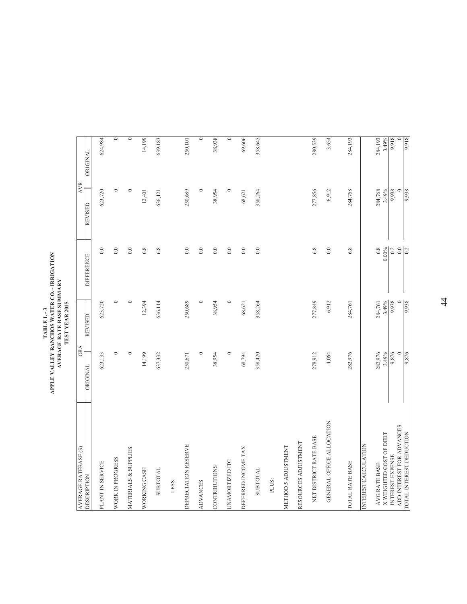| AVERAGE RATEBASE (\$)                         | <b>ORA</b>       |                |                   | <b>AVR</b>     |                    |
|-----------------------------------------------|------------------|----------------|-------------------|----------------|--------------------|
| <b>DESCRIPTION</b>                            | ORIGINAL         | <b>REVISED</b> | <b>DIFFERENCE</b> | <b>REVISED</b> | <b>ORIGINAL</b>    |
| PLANT IN SERVICE                              | 623,133          | 623,720        | 0.0               | 623,720        | 624,984            |
| WORK IN PROGRESS                              | $\circ$          | $\circ$        | 0.0               | $\circ$        | $\overline{\circ}$ |
| MATERIALS & SUPPLIES                          | $\circ$          | $\circ$        | $_{0.0}$          | $\circ$        | $\circ$            |
| WORKING CASH                                  | 14,199           | 12,394         | 6.8               | 12,401         | 14,199             |
| SUBTOTAL                                      | 637,332          | 636,114        | 6.8               | 636,121        | 639,183            |
| LESS:                                         |                  |                |                   |                |                    |
| DEPRECIATION RESERVE                          | 250,671          | 250,689        | 0.0               | 250,689        | 250,101            |
| <b>ADVANCES</b>                               | $\circ$          | $\circ$        | 0.0               | $\circ$        | $\circ$            |
| CONTRIBUTIONS                                 | 38,954           | 38,954         | 0.0               | 38,954         | 38,938             |
| <b>UNAMORTIZED ITC</b>                        | $\circ$          | $\circ$        | 0.0               | $\circ$        | $\circ$            |
| DEFERRED INCOME TAX                           | 68,794           | 68,621         | 0.0               | 68,621         | 69,606             |
| SUBTOTAL                                      | 358,420          | 358,264        | $_{0.0}$          | 358,264        | 358,645            |
| PLUS:                                         |                  |                |                   |                |                    |
| METHOD 5 ADJUSTMENT                           |                  |                |                   |                |                    |
| RESOURCES ADJUSTMENT                          |                  |                |                   |                |                    |
| NET DISTRICT RATE BASE                        | 278,912          | 277,849        | 6.8               | 277,856        | 280,539            |
| GENERAL OFFICE ALLOCATION                     | 4,064            | 6,912          | 0.0               | 6,912          | 3,654              |
| <b>TOTAL RATE BASE</b>                        | 282,976          | 284,761        | 6.8               | 284,768        | 284,193            |
| NTEREST CALCULATION                           |                  |                |                   |                |                    |
| AVG RATE BASE                                 | 282,976          | 284,761        | 6.8               | 284,768        | 284,193            |
| X WEIGHTED COST OF DEBT                       | 3.49%            | 3.49%          | $0.00\%$          | 3.49%          | 3.49%              |
| ADD INTEREST FOR ADVANCES<br>INTEREST EXPENSE | 9,876<br>$\circ$ | $\circ$        | $0.0\,$<br>0.2    | 9,938          | 9,918              |
| TOTAL INTEREST DEDUCTION                      | 9,876            | 9,938          | $\overline{0.2}$  | 9,938          | 9,918              |

### TABLE L - 3<br>APPLE VALLEY RANCHOS WATER CO. - IRRIGATION<br>AVERAGE RATE BASE SUMMARY<br>TEST YEAR 2015 **APPLE VALLEY RANCHOS WATER CO. - IRRIGATION AVERAGE RATE BASE SUMMARY TEST YEAR 2015 TABLE L - 3**